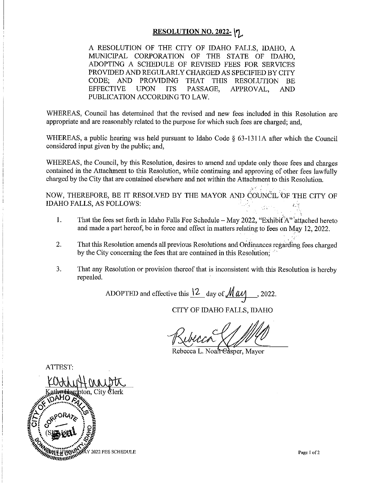#### <u>RESOLUTION NO. 2022-</u> |ໆ

A RESOLUTION OF THE CITY OF IDAHO FALLS, IDAHO, A MUNICIPAL CORPORATION OF THE STATE OF IDAHO. ADOPTING A SCHEDULE OF REVISED FEES FOR SERVICES PROVIDED AND REGULARLY CHARGED AS SPECIFIED BY CITY CODE: AND PROVIDING THAT THIS RESOLUTION BE **EFFECTIVE UPON ITS** PASSAGE, APPROVAL, **AND** PUBLICATION ACCORDING TO LAW.

WHEREAS, Council has determined that the revised and new fees included in this Resolution are appropriate and are reasonably related to the purpose for which such fees are charged; and,

WHEREAS, a public hearing was held pursuant to Idaho Code § 63-1311A after which the Council considered input given by the public; and,

WHEREAS, the Council, by this Resolution, desires to amend and update only those fees and charges contained in the Attachment to this Resolution, while continuing and approving of other fees lawfully charged by the City that are contained elsewhere and not within the Attachment to this Resolution.

NOW, THEREFORE, BE IT RESOLVED BY THE MAYOR AND COUNCIL OF THE CITY OF **IDAHO FALLS, AS FOLLOWS:**  $\chi_{\rm{in}}$  or

- $1.$ That the fees set forth in Idaho Falls Fee Schedule – May 2022, "Exhibit A" attached hereto and made a part hereof, be in force and effect in matters relating to fees on May 12, 2022.
- That this Resolution amends all previous Resolutions and Ordinances regarding fees charged 2. by the City concerning the fees that are contained in this Resolution:
- $3<sub>1</sub>$ That any Resolution or provision thereof that is inconsistent with this Resolution is hereby repealed.

ADOPTED and effective this  $12$  day of  $\text{May}$ , 2022.

CITY OF IDAHO FALLS, IDAHO

Rebecca L. Noah Edsper, Mayor

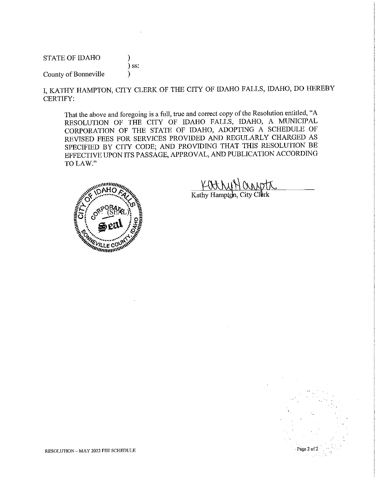**STATE OF IDAHO** 

#### $)$  ss: )

 $\lambda$ 

County of Bonneville

I, KATHY HAMPTON, CITY CLERK OF THE CITY OF IDAHO FALLS, IDAHO, DO HEREBY **CERTIFY:** 

That the above and foregoing is a full, true and correct copy of the Resolution entitled, "A RESOLUTION OF THE CITY OF IDAHO FALLS, IDAHO, A MUNICIPAL CORPORATION OF THE STATE OF IDAHO, ADOPTING A SCHEDULE OF REVISED FEES FOR SERVICES PROVIDED AND REGULARLY CHARGED AS SPECIFIED BY CITY CODE; AND PROVIDING THAT THIS RESOLUTION BE EFFECTIVE UPON ITS PASSAGE, APPROVAL, AND PUBLICATION ACCORDING TO LAW."



Kathy Hampton, City Clerk

Page 2 of 2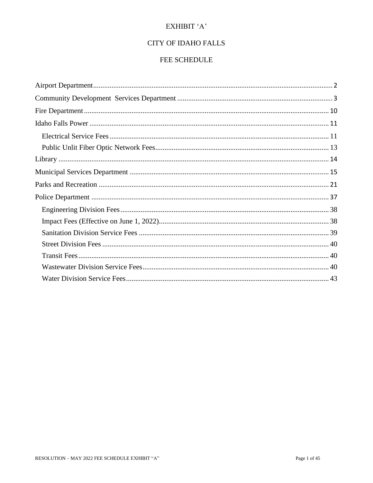#### EXHIBIT 'A'

#### **CITY OF IDAHO FALLS**

#### FEE SCHEDULE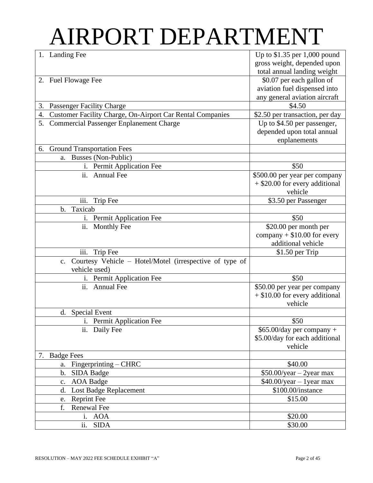## AIRPORT DEPARTMENT

| 1. Landing Fee                                                      | Up to $$1.35$ per 1,000 pound                       |
|---------------------------------------------------------------------|-----------------------------------------------------|
|                                                                     | gross weight, depended upon                         |
|                                                                     | total annual landing weight                         |
| 2. Fuel Flowage Fee                                                 | \$0.07 per each gallon of                           |
|                                                                     | aviation fuel dispensed into                        |
|                                                                     | any general aviation aircraft                       |
| <b>Passenger Facility Charge</b><br>3.                              | \$4.50                                              |
| Customer Facility Charge, On-Airport Car Rental Companies<br>4.     | \$2.50 per transaction, per day                     |
| 5. Commercial Passenger Enplanement Charge                          | Up to \$4.50 per passenger,                         |
|                                                                     | depended upon total annual                          |
|                                                                     | enplanements                                        |
| 6. Ground Transportation Fees                                       |                                                     |
| Busses (Non-Public)<br>a.                                           |                                                     |
| Permit Application Fee<br>i.                                        | \$50                                                |
| ii.<br><b>Annual Fee</b>                                            | \$500.00 per year per company                       |
|                                                                     | + \$20.00 for every additional                      |
|                                                                     | vehicle                                             |
| iii.<br>Trip Fee                                                    | \$3.50 per Passenger                                |
| Taxicab<br>b.                                                       |                                                     |
| Permit Application Fee<br>$\mathbf{i}$ .                            | \$50                                                |
| ii.<br><b>Monthly Fee</b>                                           | \$20.00 per month per                               |
|                                                                     | company $+$ \$10.00 for every<br>additional vehicle |
| iii.                                                                |                                                     |
| Trip Fee<br>Courtesy Vehicle - Hotel/Motel (irrespective of type of | \$1.50 per Trip                                     |
| $c_{\cdot}$<br>vehicle used)                                        |                                                     |
| i. Permit Application Fee                                           | \$50                                                |
| ii.<br><b>Annual Fee</b>                                            | \$50.00 per year per company                        |
|                                                                     | $+$ \$10.00 for every additional                    |
|                                                                     | vehicle                                             |
| <b>Special Event</b><br>d.                                          |                                                     |
| i. Permit Application Fee                                           | \$50                                                |
| ii. Daily Fee                                                       | $$65.00/day$ per company +                          |
|                                                                     | \$5.00/day for each additional                      |
|                                                                     | vehicle                                             |
| <b>Badge Fees</b><br>7.                                             |                                                     |
| $Fingerprinting - CHRC$<br>a.                                       | \$40.00                                             |
| b.<br>SIDA Badge                                                    | $$50.00/year - 2year$ max                           |
| <b>AOA</b> Badge<br>c.                                              | $$40.00/year - 1year$ max                           |
| Lost Badge Replacement<br>d.                                        | \$100.00/instance                                   |
| <b>Reprint Fee</b><br>e.                                            | \$15.00                                             |
| f.<br>Renewal Fee                                                   |                                                     |
| i. AOA                                                              | \$20.00                                             |
| ii.<br><b>SIDA</b>                                                  | \$30.00                                             |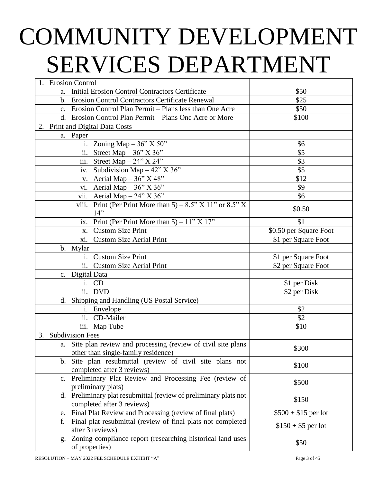# COMMUNITY DEVELOPMENT SERVICES DEPARTMENT

| 1. Erosion Control                                                   |                        |
|----------------------------------------------------------------------|------------------------|
| Initial Erosion Control Contractors Certificate<br>a.                | \$50                   |
| b. Erosion Control Contractors Certificate Renewal                   | \$25                   |
| c. Erosion Control Plan Permit - Plans less than One Acre            | \$50                   |
| d. Erosion Control Plan Permit - Plans One Acre or More              | \$100                  |
| 2. Print and Digital Data Costs                                      |                        |
| a. Paper                                                             |                        |
| i. Zoning Map $-36$ " X 50"                                          | \$6                    |
| ii. Street Map $-36$ " X 36"                                         | \$5                    |
| iii. Street Map $-24$ " X 24"                                        | \$3                    |
| iv. Subdivision Map $-42$ " X 36"                                    | \$5                    |
| v. Aerial Map $-36$ " X 48"                                          | \$12                   |
| vi. Aerial Map $-36$ " X 36"                                         | \$9                    |
| vii. Aerial Map $-24$ " X 36"                                        | \$6                    |
| viii. Print (Per Print More than $5$ ) – 8.5" X 11" or 8.5" X        |                        |
| 14"                                                                  | \$0.50                 |
| ix. Print (Per Print More than 5) $-\overline{11" \times 17"}$       | \$1                    |
| x. Custom Size Print                                                 | \$0.50 per Square Foot |
| xi. Custom Size Aerial Print                                         | \$1 per Square Foot    |
| b. Mylar                                                             |                        |
| i. Custom Size Print                                                 | \$1 per Square Foot    |
| ii. Custom Size Aerial Print                                         | \$2 per Square Foot    |
| Digital Data<br>$c_{\cdot}$                                          |                        |
| i. CD                                                                | \$1 per Disk           |
| ii. DVD                                                              | \$2 per Disk           |
| d. Shipping and Handling (US Postal Service)                         |                        |
| i. Envelope                                                          | \$2                    |
| ii. CD-Mailer                                                        | \$2                    |
| iii. Map Tube                                                        | \$10                   |
| <b>Subdivision Fees</b><br>3.                                        |                        |
| a. Site plan review and processing (review of civil site plans       | \$300                  |
| other than single-family residence)                                  |                        |
| Site plan resubmittal (review of civil site plans not<br>$b_{\cdot}$ | \$100                  |
| completed after 3 reviews)                                           |                        |
| Preliminary Plat Review and Processing Fee (review of<br>$c_{\cdot}$ | \$500                  |
| preliminary plats)                                                   |                        |
| Preliminary plat resubmittal (review of preliminary plats not<br>d.  | \$150                  |
| completed after 3 reviews)                                           |                        |
| Final Plat Review and Processing (review of final plats)<br>e.       | $$500 + $15$ per lot   |
| Final plat resubmittal (review of final plats not completed<br>f.    | $$150 + $5$ per lot    |
| after 3 reviews)                                                     |                        |
| Zoning compliance report (researching historical land uses<br>g.     | \$50                   |
| of properties)                                                       |                        |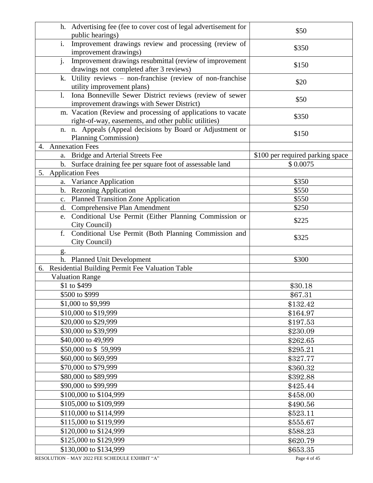| h. Advertising fee (fee to cover cost of legal advertisement for<br>public hearings)                                 | \$50                             |
|----------------------------------------------------------------------------------------------------------------------|----------------------------------|
| i.<br>Improvement drawings review and processing (review of<br>improvement drawings)                                 | \$350                            |
| j.<br>Improvement drawings resubmittal (review of improvement<br>drawings not completed after 3 reviews)             | \$150                            |
| Utility reviews - non-franchise (review of non-franchise<br>k.<br>utility improvement plans)                         | \$20                             |
| Iona Bonneville Sewer District reviews (review of sewer<br>1.<br>improvement drawings with Sewer District)           | \$50                             |
| m. Vacation (Review and processing of applications to vacate<br>right-of-way, easements, and other public utilities) | \$350                            |
| n. n. Appeals (Appeal decisions by Board or Adjustment or<br>Planning Commission)                                    | \$150                            |
| 4. Annexation Fees                                                                                                   |                                  |
| a. Bridge and Arterial Streets Fee                                                                                   | \$100 per required parking space |
| b. Surface draining fee per square foot of assessable land                                                           | \$0.0075                         |
| 5. Application Fees                                                                                                  |                                  |
| a. Variance Application                                                                                              | \$350                            |
| b. Rezoning Application                                                                                              | \$550                            |
| <b>Planned Transition Zone Application</b><br>c.                                                                     | \$550                            |
| Comprehensive Plan Amendment<br>d.                                                                                   | \$250                            |
| Conditional Use Permit (Either Planning Commission or<br>e.<br>City Council)                                         | \$225                            |
| f.<br>Conditional Use Permit (Both Planning Commission and<br>City Council)                                          | \$325                            |
| g.                                                                                                                   |                                  |
| h. Planned Unit Development                                                                                          | \$300                            |
| 6. Residential Building Permit Fee Valuation Table                                                                   |                                  |
| <b>Valuation Range</b>                                                                                               |                                  |
| \$1 to \$499                                                                                                         | \$30.18                          |
| \$500 to \$999                                                                                                       | \$67.31                          |
| \$1,000 to \$9,999                                                                                                   | \$132.42                         |
| \$10,000 to \$19,999                                                                                                 | \$164.97                         |
| \$20,000 to \$29,999                                                                                                 | \$197.53                         |
| \$30,000 to \$39,999                                                                                                 | \$230.09                         |
| \$40,000 to 49,999                                                                                                   |                                  |
| \$50,000 to \$59,999                                                                                                 | \$262.65                         |
|                                                                                                                      | \$295.21                         |
| \$60,000 to \$69,999                                                                                                 | \$327.77                         |
| \$70,000 to \$79,999                                                                                                 | \$360.32                         |
| \$80,000 to \$89,999                                                                                                 | \$392.88                         |
| \$90,000 to \$99,999                                                                                                 | \$425.44                         |
| \$100,000 to \$104,999                                                                                               | \$458.00                         |
| \$105,000 to \$109,999                                                                                               | \$490.56                         |
| \$110,000 to \$114,999                                                                                               | \$523.11                         |
| \$115,000 to \$119,999                                                                                               | \$555.67                         |
| \$120,000 to \$124,999                                                                                               | \$588.23                         |
| \$125,000 to \$129,999                                                                                               | \$620.79                         |
| \$130,000 to \$134,999                                                                                               | \$653.35                         |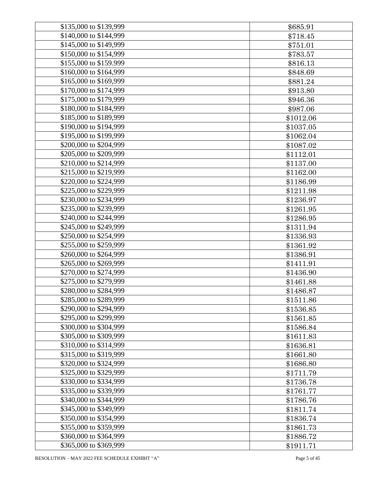| \$135,000 to \$139,999 | \$685.91  |
|------------------------|-----------|
| \$140,000 to \$144,999 | \$718.45  |
| \$145,000 to \$149,999 | \$751.01  |
| \$150,000 to \$154,999 | \$783.57  |
| \$155,000 to \$159.999 | \$816.13  |
| \$160,000 to \$164,999 | \$848.69  |
| \$165,000 to \$169,999 | \$881.24  |
| \$170,000 to \$174,999 | \$913.80  |
| \$175,000 to \$179,999 | \$946.36  |
| \$180,000 to \$184,999 | \$987.06  |
| \$185,000 to \$189,999 | \$1012.06 |
| \$190,000 to \$194,999 | \$1037.05 |
| \$195,000 to \$199,999 | \$1062.04 |
| \$200,000 to \$204,999 | \$1087.02 |
| \$205,000 to \$209,999 | \$1112.01 |
| \$210,000 to \$214,999 | \$1137.00 |
| \$215,000 to \$219,999 | \$1162.00 |
| \$220,000 to \$224,999 | \$1186.99 |
| \$225,000 to \$229,999 | \$1211.98 |
| \$230,000 to \$234,999 | \$1236.97 |
| \$235,000 to \$239,999 | \$1261.95 |
| \$240,000 to \$244,999 | \$1286.95 |
| \$245,000 to \$249,999 | \$1311.94 |
| \$250,000 to \$254,999 | \$1336.93 |
| \$255,000 to \$259,999 | \$1361.92 |
| \$260,000 to \$264,999 | \$1386.91 |
| \$265,000 to \$269,999 | \$1411.91 |
| \$270,000 to \$274,999 | \$1436.90 |
| \$275,000 to \$279,999 | \$1461.88 |
| \$280,000 to \$284,999 | \$1486.87 |
| \$285,000 to \$289,999 | \$1511.86 |
| \$290,000 to \$294,999 | \$1536.85 |
| \$295,000 to \$299,999 | \$1561.85 |
| \$300,000 to \$304,999 | \$1586.84 |
| \$305,000 to \$309,999 | \$1611.83 |
| \$310,000 to \$314,999 | \$1636.81 |
| \$315,000 to \$319,999 | \$1661.80 |
| \$320,000 to \$324,999 | \$1686.80 |
| \$325,000 to \$329,999 | \$1711.79 |
| \$330,000 to \$334,999 | \$1736.78 |
| \$335,000 to \$339,999 | \$1761.77 |
| \$340,000 to \$344,999 | \$1786.76 |
| \$345,000 to \$349,999 | \$1811.74 |
| \$350,000 to \$354,999 | \$1836.74 |
| \$355,000 to \$359,999 | \$1861.73 |
| \$360,000 to \$364,999 | \$1886.72 |
| \$365,000 to \$369,999 | \$1911.71 |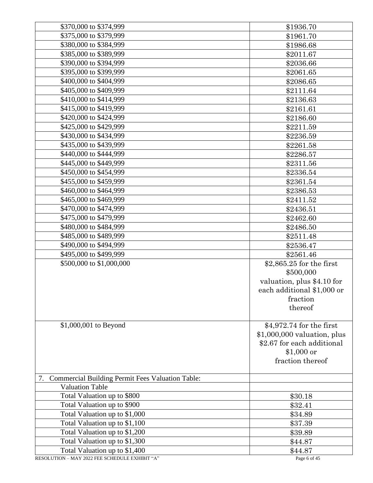| \$370,000 to \$374,999                                        | \$1936.70                    |
|---------------------------------------------------------------|------------------------------|
| \$375,000 to \$379,999                                        | \$1961.70                    |
| \$380,000 to \$384,999                                        | \$1986.68                    |
| \$385,000 to \$389,999                                        | \$2011.67                    |
| \$390,000 to \$394,999                                        | \$2036.66                    |
| \$395,000 to \$399,999                                        | \$2061.65                    |
| \$400,000 to \$404,999                                        | \$2086.65                    |
| \$405,000 to \$409,999                                        | \$2111.64                    |
| \$410,000 to \$414,999                                        | \$2136.63                    |
| \$415,000 to \$419,999                                        | \$2161.61                    |
| \$420,000 to \$424,999                                        | \$2186.60                    |
| \$425,000 to \$429,999                                        | \$2211.59                    |
| \$430,000 to \$434,999                                        | \$2236.59                    |
| \$435,000 to \$439,999                                        | \$2261.58                    |
| \$440,000 to \$444,999                                        | \$2286.57                    |
| \$445,000 to \$449,999                                        | \$2311.56                    |
| \$450,000 to \$454,999                                        | \$2336.54                    |
| \$455,000 to \$459,999                                        | \$2361.54                    |
| \$460,000 to \$464,999                                        | \$2386.53                    |
| \$465,000 to \$469,999                                        | \$2411.52                    |
| \$470,000 to \$474,999                                        | \$2436.51                    |
| \$475,000 to \$479,999                                        | \$2462.60                    |
| \$480,000 to \$484,999                                        | \$2486.50                    |
| \$485,000 to \$489,999                                        | \$2511.48                    |
| \$490,000 to \$494,999                                        | \$2536.47                    |
| \$495,000 to \$499,999                                        | \$2561.46                    |
| \$500,000 to \$1,000,000                                      | \$2,865.25 for the first     |
|                                                               | \$500,000                    |
|                                                               | valuation, plus \$4.10 for   |
|                                                               | each additional \$1,000 or   |
|                                                               | fraction                     |
|                                                               | thereof                      |
|                                                               |                              |
| \$1,000,001 to Beyond                                         | \$4,972.74 for the first     |
|                                                               | $$1,000,000$ valuation, plus |
|                                                               | \$2.67 for each additional   |
|                                                               | $$1,000$ or                  |
|                                                               | fraction thereof             |
|                                                               |                              |
| <b>Commercial Building Permit Fees Valuation Table:</b><br>7. |                              |
| <b>Valuation Table</b>                                        |                              |
| Total Valuation up to \$800                                   | \$30.18                      |
| Total Valuation up to \$900                                   | \$32.41                      |
| Total Valuation up to \$1,000                                 | \$34.89                      |
| Total Valuation up to \$1,100                                 | \$37.39                      |
| Total Valuation up to \$1,200                                 | \$39.89                      |
| Total Valuation up to \$1,300                                 | \$44.87                      |
| Total Valuation up to \$1,400                                 | \$44.87                      |
| RESOLUTION - MAY 2022 FEE SCHEDULE EXHIBIT "A"                | Page 6 of 45                 |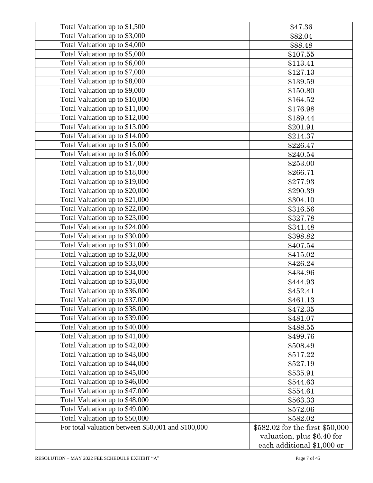| Total Valuation up to \$1,500                      | \$47.36                         |
|----------------------------------------------------|---------------------------------|
| Total Valuation up to \$3,000                      | \$82.04                         |
| Total Valuation up to \$4,000                      | \$88.48                         |
| Total Valuation up to \$5,000                      | \$107.55                        |
| Total Valuation up to \$6,000                      | \$113.41                        |
| Total Valuation up to \$7,000                      | \$127.13                        |
| Total Valuation up to \$8,000                      | \$139.59                        |
| Total Valuation up to \$9,000                      | \$150.80                        |
| Total Valuation up to \$10,000                     | \$164.52                        |
| Total Valuation up to \$11,000                     | \$176.98                        |
| Total Valuation up to \$12,000                     | \$189.44                        |
| Total Valuation up to \$13,000                     | \$201.91                        |
| Total Valuation up to \$14,000                     | \$214.37                        |
| Total Valuation up to \$15,000                     | \$226.47                        |
| Total Valuation up to \$16,000                     | \$240.54                        |
| Total Valuation up to \$17,000                     | \$253.00                        |
| Total Valuation up to \$18,000                     | \$266.71                        |
| Total Valuation up to \$19,000                     | \$277.93                        |
| Total Valuation up to \$20,000                     | \$290.39                        |
| Total Valuation up to \$21,000                     | \$304.10                        |
| Total Valuation up to \$22,000                     | \$316.56                        |
| Total Valuation up to \$23,000                     | \$327.78                        |
| Total Valuation up to \$24,000                     | \$341.48                        |
| Total Valuation up to \$30,000                     | \$398.82                        |
| Total Valuation up to \$31,000                     | \$407.54                        |
| Total Valuation up to \$32,000                     | \$415.02                        |
| Total Valuation up to \$33,000                     | \$426.24                        |
| Total Valuation up to \$34,000                     | \$434.96                        |
| Total Valuation up to \$35,000                     | \$444.93                        |
| Total Valuation up to \$36,000                     | \$452.41                        |
| Total Valuation up to \$37,000                     | \$461.13                        |
| Total Valuation up to \$38,000                     | \$472.35                        |
| Total Valuation up to \$39,000                     | \$481.07                        |
| Total Valuation up to \$40,000                     | \$488.55                        |
| Total Valuation up to \$41,000                     | \$499.76                        |
| Total Valuation up to \$42,000                     | \$508.49                        |
| Total Valuation up to \$43,000                     | \$517.22                        |
| Total Valuation up to \$44,000                     | \$527.19                        |
| Total Valuation up to \$45,000                     | \$535.91                        |
| Total Valuation up to \$46,000                     | \$544.63                        |
| Total Valuation up to \$47,000                     | \$554.61                        |
| Total Valuation up to \$48,000                     | \$563.33                        |
| Total Valuation up to \$49,000                     | \$572.06                        |
| Total Valuation up to \$50,000                     | \$582.02                        |
| For total valuation between \$50,001 and \$100,000 | \$582.02 for the first \$50,000 |
|                                                    | valuation, plus \$6.40 for      |
|                                                    |                                 |
|                                                    | each additional \$1,000 or      |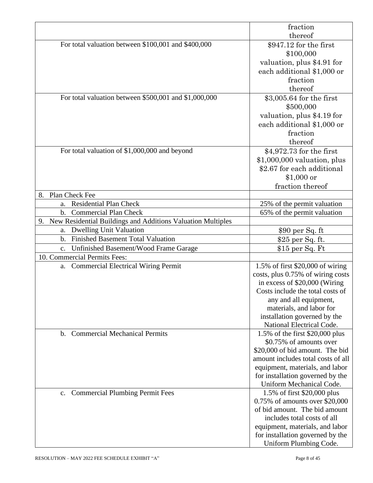|                                                                | fraction                                                   |
|----------------------------------------------------------------|------------------------------------------------------------|
|                                                                | thereof                                                    |
| For total valuation between \$100,001 and \$400,000            | $$947.12$ for the first                                    |
|                                                                | \$100,000                                                  |
|                                                                | valuation, plus \$4.91 for                                 |
|                                                                | each additional \$1,000 or                                 |
|                                                                | fraction                                                   |
|                                                                | thereof                                                    |
| For total valuation between \$500,001 and \$1,000,000          | \$3,005.64 for the first                                   |
|                                                                | \$500,000                                                  |
|                                                                | valuation, plus \$4.19 for                                 |
|                                                                | each additional \$1,000 or                                 |
|                                                                | fraction                                                   |
|                                                                | thereof                                                    |
| For total valuation of \$1,000,000 and beyond                  | \$4,972.73 for the first                                   |
|                                                                | $$1,000,000$ valuation, plus                               |
|                                                                | \$2.67 for each additional                                 |
|                                                                |                                                            |
|                                                                | $$1,000$ or                                                |
| Plan Check Fee                                                 | fraction thereof                                           |
| 8.<br><b>Residential Plan Check</b>                            |                                                            |
| a.                                                             | 25% of the permit valuation                                |
| <b>Commercial Plan Check</b><br>$\mathbf{b}$ .                 | 65% of the permit valuation                                |
| 9. New Residential Buildings and Additions Valuation Multiples |                                                            |
| <b>Dwelling Unit Valuation</b><br>a.                           | $$90$ per Sq. ft                                           |
| <b>Finished Basement Total Valuation</b><br>$\mathbf{b}$ .     | \$25 per Sq. ft.                                           |
| Unfinished Basement/Wood Frame Garage<br>$\mathbf{c}$ .        | $$15$ per Sq. Ft                                           |
| 10. Commercial Permits Fees:                                   |                                                            |
| a. Commercial Electrical Wiring Permit                         | 1.5% of first \$20,000 of wiring                           |
|                                                                | costs, plus 0.75% of wiring costs                          |
|                                                                | in excess of \$20,000 (Wiring                              |
|                                                                | Costs include the total costs of                           |
|                                                                | any and all equipment,                                     |
|                                                                | materials, and labor for<br>installation governed by the   |
|                                                                | National Electrical Code.                                  |
| <b>Commercial Mechanical Permits</b><br>$\mathbf b$ .          |                                                            |
|                                                                | 1.5% of the first \$20,000 plus<br>\$0.75% of amounts over |
|                                                                | \$20,000 of bid amount. The bid                            |
|                                                                | amount includes total costs of all                         |
|                                                                | equipment, materials, and labor                            |
|                                                                | for installation governed by the                           |
|                                                                | Uniform Mechanical Code.                                   |
| c. Commercial Plumbing Permit Fees                             | 1.5% of first \$20,000 plus                                |
|                                                                | 0.75% of amounts over \$20,000                             |
|                                                                | of bid amount. The bid amount                              |
|                                                                | includes total costs of all                                |
|                                                                | equipment, materials, and labor                            |
|                                                                | for installation governed by the                           |
|                                                                | Uniform Plumbing Code.                                     |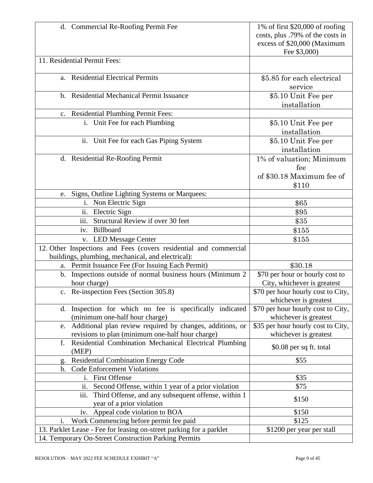| d. Commercial Re-Roofing Permit Fee                                   | 1% of first $$20,000$ of roofing   |
|-----------------------------------------------------------------------|------------------------------------|
|                                                                       | costs, plus .79% of the costs in   |
|                                                                       | excess of \$20,000 (Maximum        |
|                                                                       | Fee \$3,000)                       |
| 11. Residential Permit Fees:                                          |                                    |
| <b>Residential Electrical Permits</b><br>a.                           | \$5.85 for each electrical         |
|                                                                       | service                            |
| <b>Residential Mechanical Permit Issuance</b><br>$\mathbf{b}$ .       | \$5.10 Unit Fee per                |
|                                                                       | installation                       |
| c. Residential Plumbing Permit Fees:                                  |                                    |
| i. Unit Fee for each Plumbing                                         | \$5.10 Unit Fee per                |
|                                                                       | installation                       |
| ii. Unit Fee for each Gas Piping System                               | \$5.10 Unit Fee per                |
|                                                                       | installation                       |
| d. Residential Re-Roofing Permit                                      | 1% of valuation; Minimum           |
|                                                                       | fee                                |
|                                                                       | of \$30.18 Maximum fee of          |
|                                                                       | \$110                              |
| Signs, Outline Lighting Systems or Marquees:<br>e.                    |                                    |
| i. Non Electric Sign                                                  | \$65                               |
| ii. Electric Sign                                                     | \$95                               |
| iii.<br>Structural Review if over 30 feet                             | \$35                               |
| iv. Billboard                                                         | \$155                              |
| <b>LED Message Center</b><br>V.                                       | \$155                              |
| 12. Other Inspections and Fees (covers residential and commercial     |                                    |
| buildings, plumbing, mechanical, and electrical):                     |                                    |
| Permit Issuance Fee (For Issuing Each Permit)<br>a.                   | \$30.18                            |
| Inspections outside of normal business hours (Minimum 2<br>b.         | \$70 per hour or hourly cost to    |
| hour charge)                                                          | City, whichever is greatest        |
| c. Re-inspection Fees (Section 305.8)                                 | \$70 per hour hourly cost to City, |
|                                                                       | whichever is greatest              |
| Inspection for which no fee is specifically indicated<br>d.           | \$70 per hour hourly cost to City, |
| (minimum one-half hour charge)                                        | whichever is greatest              |
| Additional plan review required by changes, additions, or<br>e.       | \$35 per hour hourly cost to City, |
| revisions to plan (minimum one-half hour charge)                      | whichever is greatest              |
| Residential Combination Mechanical Electrical Plumbing<br>f.<br>(MEP) | \$0.08 per sq ft. total            |
| <b>Residential Combination Energy Code</b><br>g.                      | \$55                               |
| <b>Code Enforcement Violations</b><br>h.                              |                                    |
| <b>First Offense</b><br>i.                                            | \$35                               |
| Second Offense, within 1 year of a prior violation<br>ii.             | \$75                               |
| Third Offense, and any subsequent offense, within 1<br>iii.           |                                    |
| year of a prior violation                                             | \$150                              |
| iv. Appeal code violation to BOA                                      | \$150                              |
| Work Commencing before permit fee paid<br>i.                          | \$125                              |
| 13. Parklet Lease - Fee for leasing on-street parking for a parklet   | \$1200 per year per stall          |
| 14. Temporary On-Street Construction Parking Permits                  |                                    |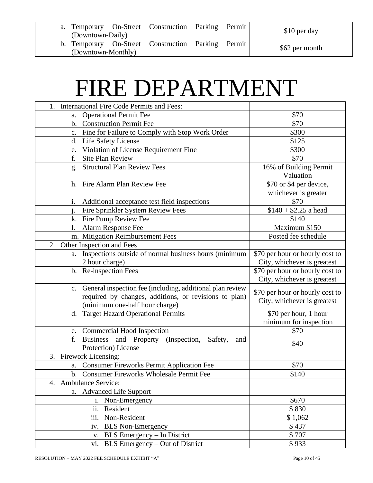| (Downtown-Daily)   | a. Temporary On-Street Construction Parking Permit |  | \$10 per day   |
|--------------------|----------------------------------------------------|--|----------------|
| (Downtown-Monthly) | b. Temporary On-Street Construction Parking Permit |  | \$62 per month |

## FIRE DEPARTMENT

| 1. International Fire Code Permits and Fees:                         |                                     |
|----------------------------------------------------------------------|-------------------------------------|
| <b>Operational Permit Fee</b><br>a.                                  | \$70                                |
| <b>Construction Permit Fee</b><br>$\mathbf b$ .                      | \$70                                |
| c. Fine for Failure to Comply with Stop Work Order                   | \$300                               |
| Life Safety License<br>$\mathbf{d}$ .                                | \$125                               |
| Violation of License Requirement Fine<br>e.                          | \$300                               |
| <b>Site Plan Review</b><br>f.                                        | \$70                                |
| <b>Structural Plan Review Fees</b><br>g.                             | 16% of Building Permit              |
|                                                                      | Valuation                           |
| h. Fire Alarm Plan Review Fee                                        | $\overline{$70}$ or \$4 per device, |
|                                                                      | whichever is greater                |
| Additional acceptance test field inspections<br>1.                   | \$70                                |
| Fire Sprinkler System Review Fees                                    | $$140 + $2.25$ a head               |
| k. Fire Pump Review Fee                                              | \$140                               |
| Alarm Response Fee<br>1.                                             | Maximum \$150                       |
| m. Mitigation Reimbursement Fees                                     | Posted fee schedule                 |
| Other Inspection and Fees<br>2.                                      |                                     |
| a. Inspections outside of normal business hours (minimum             | \$70 per hour or hourly cost to     |
| 2 hour charge)                                                       | City, whichever is greatest         |
| b. Re-inspection Fees                                                | \$70 per hour or hourly cost to     |
|                                                                      | City, whichever is greatest         |
| c. General inspection fee (including, additional plan review         |                                     |
| required by changes, additions, or revisions to plan)                | \$70 per hour or hourly cost to     |
| (minimum one-half hour charge)                                       | City, whichever is greatest         |
| d. Target Hazard Operational Permits                                 | \$70 per hour, 1 hour               |
|                                                                      | minimum for inspection              |
| e. Commercial Hood Inspection                                        | \$70                                |
| f.<br><b>Business</b><br>and Property (Inspection,<br>Safety,<br>and | \$40                                |
| Protection) License                                                  |                                     |
| 3. Firework Licensing:                                               |                                     |
| a. Consumer Fireworks Permit Application Fee                         | \$70                                |
| b. Consumer Fireworks Wholesale Permit Fee                           | \$140                               |
| <b>Ambulance Service:</b><br>4.                                      |                                     |
| a. Advanced Life Support                                             |                                     |
| i. Non-Emergency                                                     | \$670                               |
| ii. Resident                                                         | \$830                               |
| iii. Non-Resident                                                    | \$1,062                             |
| iv. BLS Non-Emergency                                                | \$437                               |
| BLS Emergency - In District<br>V.                                    | \$707                               |
| BLS Emergency – Out of District<br>vi.                               | \$933                               |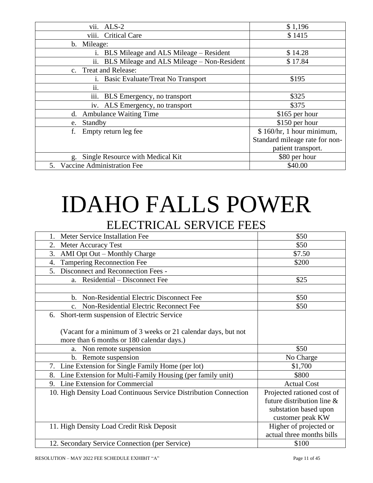| vii.<br>$ALS-2$                                     | \$1,196                        |
|-----------------------------------------------------|--------------------------------|
| viii.<br><b>Critical Care</b>                       | \$1415                         |
| b. Mileage:                                         |                                |
| BLS Mileage and ALS Mileage – Resident<br>1.        | \$14.28                        |
| ii.<br>BLS Mileage and ALS Mileage – Non-Resident   | \$17.84                        |
| c. Treat and Release:                               |                                |
| Basic Evaluate/Treat No Transport<br><sup>1</sup> . | \$195                          |
| $\ddot{\phantom{0}}$<br>$\overline{11}$ .           |                                |
| iii.<br>BLS Emergency, no transport                 | \$325                          |
| iv. ALS Emergency, no transport                     | \$375                          |
| <b>Ambulance Waiting Time</b><br>d.                 | \$165 per hour                 |
| Standby<br>e.                                       | \$150 per hour                 |
| f.<br>Empty return leg fee                          | \$160/hr, 1 hour minimum,      |
|                                                     | Standard mileage rate for non- |
|                                                     | patient transport.             |
| Single Resource with Medical Kit<br>g.              | \$80 per hour                  |
| Vaccine Administration Fee<br>5.                    | \$40.00                        |

### IDAHO FALLS POWER ELECTRICAL SERVICE FEES

| Meter Service Installation Fee                                   | \$50                       |
|------------------------------------------------------------------|----------------------------|
| 2.<br>Meter Accuracy Test                                        | \$50                       |
| 3.<br>AMI Opt Out – Monthly Charge                               | \$7.50                     |
| <b>Tampering Reconnection Fee</b><br>4.                          | \$200                      |
| Disconnect and Reconnection Fees -<br>5.                         |                            |
| a. Residential – Disconnect Fee                                  | \$25                       |
|                                                                  |                            |
| b. Non-Residential Electric Disconnect Fee                       | \$50                       |
| Non-Residential Electric Reconnect Fee<br>C <sub>1</sub>         | \$50                       |
| Short-term suspension of Electric Service<br>6.                  |                            |
|                                                                  |                            |
| (Vacant for a minimum of 3 weeks or 21 calendar days, but not    |                            |
| more than 6 months or 180 calendar days.)                        |                            |
| a. Non remote suspension                                         | \$50                       |
| b. Remote suspension                                             | No Charge                  |
| 7. Line Extension for Single Family Home (per lot)               | \$1,700                    |
| Line Extension for Multi-Family Housing (per family unit)<br>8.  | \$800                      |
| Line Extension for Commercial<br>9.                              | <b>Actual Cost</b>         |
| 10. High Density Load Continuous Service Distribution Connection | Projected rationed cost of |
|                                                                  | future distribution line & |
|                                                                  | substation based upon      |
|                                                                  | customer peak KW           |
| 11. High Density Load Credit Risk Deposit                        | Higher of projected or     |
|                                                                  | actual three months bills  |
| 12. Secondary Service Connection (per Service)                   | \$100                      |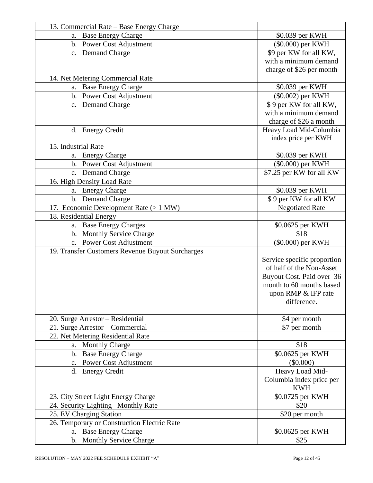| 13. Commercial Rate – Base Energy Charge         |                             |
|--------------------------------------------------|-----------------------------|
| a. Base Energy Charge                            | \$0.039 per KWH             |
| b. Power Cost Adjustment                         | (\$0.000) per KWH           |
| c. Demand Charge                                 | \$9 per KW for all KW,      |
|                                                  | with a minimum demand       |
|                                                  | charge of \$26 per month    |
| 14. Net Metering Commercial Rate                 |                             |
| a. Base Energy Charge                            | \$0.039 per KWH             |
| b. Power Cost Adjustment                         | (\$0.002) per KWH           |
| c. Demand Charge                                 | \$9 per KW for all KW,      |
|                                                  | with a minimum demand       |
|                                                  | charge of \$26 a month      |
| d. Energy Credit                                 | Heavy Load Mid-Columbia     |
|                                                  | index price per KWH         |
| 15. Industrial Rate                              |                             |
| a. Energy Charge                                 | \$0.039 per KWH             |
| b. Power Cost Adjustment                         | (\$0.000) per KWH           |
| c. Demand Charge                                 | \$7.25 per KW for all KW    |
| 16. High Density Load Rate                       |                             |
| a. Energy Charge                                 | \$0.039 per KWH             |
| b. Demand Charge                                 | \$9 per KW for all KW       |
| 17. Economic Development Rate (> 1 MW)           | <b>Negotiated Rate</b>      |
| 18. Residential Energy                           |                             |
| a. Base Energy Charges                           | \$0.0625 per KWH            |
| b. Monthly Service Charge                        | \$18                        |
| c. Power Cost Adjustment                         | (\$0.000) per KWH           |
| 19. Transfer Customers Revenue Buyout Surcharges |                             |
|                                                  | Service specific proportion |
|                                                  | of half of the Non-Asset    |
|                                                  | Buyout Cost. Paid over 36   |
|                                                  | month to 60 months based    |
|                                                  | upon RMP & IFP rate         |
|                                                  | difference.                 |
| 20. Surge Arrestor – Residential                 | \$4 per month               |
| 21. Surge Arrestor – Commercial                  | \$7 per month               |
| 22. Net Metering Residential Rate                |                             |
| a. Monthly Charge                                | \$18                        |
| b. Base Energy Charge                            | \$0.0625 per KWH            |
| c. Power Cost Adjustment                         | $(\$0.000)$                 |
| d. Energy Credit                                 | Heavy Load Mid-             |
|                                                  | Columbia index price per    |
|                                                  | <b>KWH</b>                  |
| 23. City Street Light Energy Charge              | \$0.0725 per KWH            |
| 24. Security Lighting-Monthly Rate               | \$20                        |
| 25. EV Charging Station                          | \$20 per month              |
| 26. Temporary or Construction Electric Rate      |                             |
| a. Base Energy Charge                            | \$0.0625 per KWH            |
| b. Monthly Service Charge                        | \$25                        |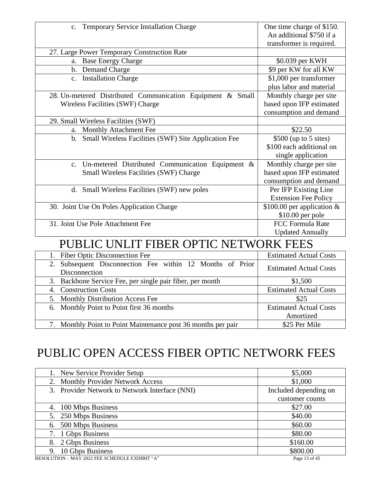| c. Temporary Service Installation Charge                                      | One time charge of \$150.<br>An additional \$750 if a |
|-------------------------------------------------------------------------------|-------------------------------------------------------|
|                                                                               | transformer is required.                              |
| 27. Large Power Temporary Construction Rate                                   |                                                       |
| a. Base Energy Charge                                                         | \$0.039 per KWH                                       |
| b. Demand Charge                                                              | \$9 per KW for all KW                                 |
| c. Installation Charge                                                        | \$1,000 per transformer                               |
|                                                                               | plus labor and material                               |
| 28. Un-metered Distributed Communication Equipment & Small                    | Monthly charge per site                               |
| Wireless Facilities (SWF) Charge                                              | based upon IFP estimated                              |
|                                                                               | consumption and demand                                |
| 29. Small Wireless Facilities (SWF)                                           |                                                       |
| a. Monthly Attachment Fee                                                     | \$22.50                                               |
| b. Small Wireless Facilities (SWF) Site Application Fee                       | \$500 (up to 5 sites)                                 |
|                                                                               | \$100 each additional on                              |
|                                                                               | single application                                    |
| c. Un-metered Distributed Communication Equipment &                           | Monthly charge per site                               |
| Small Wireless Facilities (SWF) Charge                                        | based upon IFP estimated                              |
|                                                                               | consumption and demand                                |
| d. Small Wireless Facilities (SWF) new poles                                  | Per IFP Existing Line                                 |
|                                                                               | <b>Extension Fee Policy</b>                           |
| 30. Joint Use On Poles Application Charge                                     | \$100.00 per application $&$                          |
|                                                                               | \$10.00 per pole                                      |
| 31. Joint Use Pole Attachment Fee                                             | <b>FCC Formula Rate</b>                               |
|                                                                               | <b>Updated Annually</b>                               |
| PUBLIC UNLIT FIBER OPTIC NETWORK FEES                                         |                                                       |
| <b>Fiber Optic Disconnection Fee</b><br>1.                                    | <b>Estimated Actual Costs</b>                         |
| Subsequent Disconnection Fee within 12 Months of Prior<br>2.<br>Disconnection | <b>Estimated Actual Costs</b>                         |
| Backbone Service Fee, per single pair fiber, per month<br>3.                  | \$1,500                                               |
| 4. Construction Costs                                                         | <b>Estimated Actual Costs</b>                         |
| 5. Monthly Distribution Access Fee                                            | \$25                                                  |
| 6. Monthly Point to Point first 36 months                                     | <b>Estimated Actual Costs</b>                         |
|                                                                               | Amortized                                             |
| 7. Monthly Point to Point Maintenance post 36 months per pair                 | \$25 Per Mile                                         |

### PUBLIC OPEN ACCESS FIBER OPTIC NETWORK FEES

| 1. New Service Provider Setup                  | \$5,000               |
|------------------------------------------------|-----------------------|
| 2. Monthly Provider Network Access             | \$1,000               |
| 3. Provider Network to Network Interface (NNI) | Included depending on |
|                                                | customer counts       |
| 4. 100 Mbps Business                           | \$27.00               |
| 5. 250 Mbps Business                           | \$40.00               |
| 6. 500 Mbps Business                           | \$60.00               |
| 7. 1 Gbps Business                             | \$80.00               |
| 8. 2 Gbps Business                             | \$160.00              |
| 9. 10 Gbps Business                            | \$800.00              |
| RESOLUTION - MAY 2022 FEE SCHEDULE EXHIBIT "A" | Page 13 of 45         |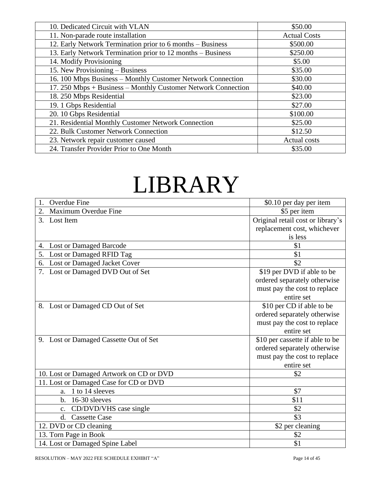| 10. Dedicated Circuit with VLAN                               | \$50.00             |
|---------------------------------------------------------------|---------------------|
| 11. Non-parade route installation                             | <b>Actual Costs</b> |
| 12. Early Network Termination prior to 6 months - Business    | \$500.00            |
| 13. Early Network Termination prior to 12 months - Business   | \$250.00            |
| 14. Modify Provisioning                                       | \$5.00              |
| 15. New Provisioning – Business                               | \$35.00             |
| 16. 100 Mbps Business - Monthly Customer Network Connection   | \$30.00             |
| 17. 250 Mbps + Business – Monthly Customer Network Connection | \$40.00             |
| 18. 250 Mbps Residential                                      | \$23.00             |
| 19. 1 Gbps Residential                                        | \$27.00             |
| 20. 10 Gbps Residential                                       | \$100.00            |
| 21. Residential Monthly Customer Network Connection           | \$25.00             |
| 22. Bulk Customer Network Connection                          | \$12.50             |
| 23. Network repair customer caused                            | <b>Actual costs</b> |
| 24. Transfer Provider Prior to One Month                      | \$35.00             |

## LIBRARY

| <b>Overdue Fine</b>                      | \$0.10 per day per item           |
|------------------------------------------|-----------------------------------|
| Maximum Overdue Fine<br>2.               | \$5 per item                      |
| 3.<br>Lost Item                          | Original retail cost or library's |
|                                          | replacement cost, whichever       |
|                                          | is less                           |
| <b>Lost or Damaged Barcode</b><br>4.     | \$1                               |
| Lost or Damaged RFID Tag<br>5.           | \$1                               |
| Lost or Damaged Jacket Cover<br>6.       | \$2                               |
| Lost or Damaged DVD Out of Set           | \$19 per DVD if able to be        |
|                                          | ordered separately otherwise      |
|                                          | must pay the cost to replace      |
|                                          | entire set                        |
| 8. Lost or Damaged CD Out of Set         | \$10 per CD if able to be         |
|                                          | ordered separately otherwise      |
|                                          | must pay the cost to replace      |
|                                          | entire set                        |
| 9. Lost or Damaged Cassette Out of Set   | \$10 per cassette if able to be   |
|                                          | ordered separately otherwise      |
|                                          | must pay the cost to replace      |
|                                          | entire set                        |
| 10. Lost or Damaged Artwork on CD or DVD | \$2                               |
| 11. Lost or Damaged Case for CD or DVD   |                                   |
| 1 to 14 sleeves<br>a.                    | \$7                               |
| 16-30 sleeves<br>$\mathbf{b}$ .          | \$11                              |
| CD/DVD/VHS case single<br>$C_{\bullet}$  | \$2                               |
| <b>Cassette Case</b><br>$\rm d$ .        | \$3                               |
| 12. DVD or CD cleaning                   | \$2 per cleaning                  |
| 13. Torn Page in Book                    | \$2                               |
| 14. Lost or Damaged Spine Label          | \$1                               |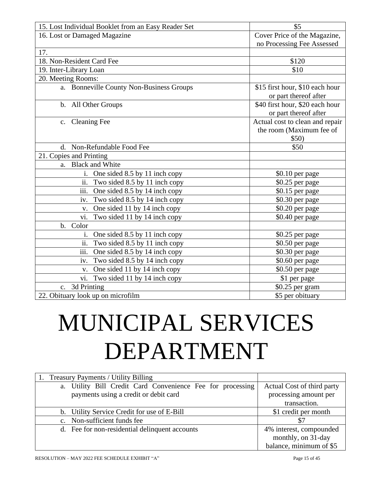| 15. Lost Individual Booklet from an Easy Reader Set        | \$5                                                                  |
|------------------------------------------------------------|----------------------------------------------------------------------|
| 16. Lost or Damaged Magazine                               | Cover Price of the Magazine,                                         |
|                                                            | no Processing Fee Assessed                                           |
| 17.                                                        |                                                                      |
| 18. Non-Resident Card Fee                                  | \$120                                                                |
| 19. Inter-Library Loan                                     | \$10                                                                 |
| 20. Meeting Rooms:                                         |                                                                      |
| a. Bonneville County Non-Business Groups                   | \$15 first hour, \$10 each hour<br>or part thereof after             |
| b. All Other Groups                                        | \$40 first hour, \$20 each hour<br>or part thereof after             |
| c. Cleaning Fee                                            | Actual cost to clean and repair<br>the room (Maximum fee of<br>\$50) |
| d. Non-Refundable Food Fee                                 | \$50                                                                 |
| 21. Copies and Printing                                    |                                                                      |
| a. Black and White                                         |                                                                      |
| i. One sided 8.5 by 11 inch copy                           | \$0.10 per page                                                      |
| ii.<br>Two sided 8.5 by 11 inch copy                       | \$0.25 per page                                                      |
| $\overline{\text{iii}}$ .<br>One sided 8.5 by 14 inch copy | \$0.15 per page                                                      |
| Two sided 8.5 by 14 inch copy<br>iv.                       | \$0.30 per page                                                      |
| One sided 11 by 14 inch copy<br>V.                         | \$0.20 per page                                                      |
| Two sided 11 by 14 inch copy<br>vi.                        | \$0.40 per page                                                      |
| b. Color                                                   |                                                                      |
| One sided 8.5 by 11 inch copy<br>1.                        | \$0.25 per page                                                      |
| ii.<br>Two sided 8.5 by 11 inch copy                       | \$0.50 per page                                                      |
| iii.<br>One sided 8.5 by 14 inch copy                      | \$0.30 per page                                                      |
| Two sided 8.5 by 14 inch copy<br>iv.                       | \$0.60 per page                                                      |
| One sided 11 by 14 inch copy<br>V.                         | \$0.50 per page                                                      |
| Two sided 11 by 14 inch copy<br>vi.                        | \$1 per page                                                         |
| 3d Printing<br>c.                                          | \$0.25 per gram                                                      |
| 22. Obituary look up on microfilm                          | \$5 per obituary                                                     |

# MUNICIPAL SERVICES DEPARTMENT

| 1. Treasury Payments / Utility Billing                        |                            |
|---------------------------------------------------------------|----------------------------|
| Utility Bill Credit Card Convenience Fee for processing<br>a. | Actual Cost of third party |
| payments using a credit or debit card                         | processing amount per      |
|                                                               | transaction.               |
| b. Utility Service Credit for use of E-Bill                   | \$1 credit per month       |
| c. Non-sufficient funds fee                                   | \$7                        |
| d. Fee for non-residential delinquent accounts                | 4% interest, compounded    |
|                                                               | monthly, on 31-day         |
|                                                               | balance, minimum of \$5    |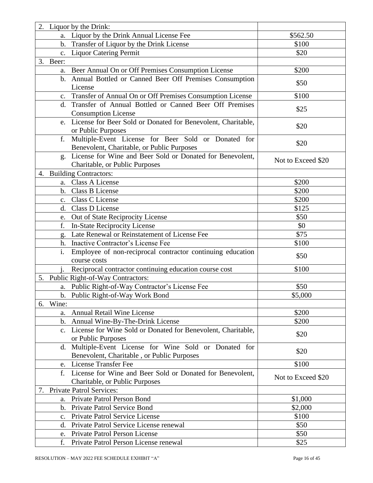|                | 2. Liquor by the Drink:                                              |                    |
|----------------|----------------------------------------------------------------------|--------------------|
|                | a. Liquor by the Drink Annual License Fee                            | \$562.50           |
|                | b. Transfer of Liquor by the Drink License                           | \$100              |
|                | c. Liquor Catering Permit                                            | \$20               |
| 3. Beer:       |                                                                      |                    |
|                | a. Beer Annual On or Off Premises Consumption License                | \$200              |
|                | b. Annual Bottled or Canned Beer Off Premises Consumption<br>License | \$50               |
|                | c. Transfer of Annual On or Off Premises Consumption License         | \$100              |
|                | d. Transfer of Annual Bottled or Canned Beer Off Premises            |                    |
|                | <b>Consumption License</b>                                           | \$25               |
| e.             | License for Beer Sold or Donated for Benevolent, Charitable,         |                    |
|                | or Public Purposes                                                   | \$20               |
| f.             | Multiple-Event License for Beer Sold or Donated for                  |                    |
|                | Benevolent, Charitable, or Public Purposes                           | \$20               |
|                | g. License for Wine and Beer Sold or Donated for Benevolent,         |                    |
|                | Charitable, or Public Purposes                                       | Not to Exceed \$20 |
|                | 4. Building Contractors:                                             |                    |
|                | <b>Class A License</b><br>a.                                         | \$200              |
|                | Class B License<br>b.                                                | \$200              |
|                | c. Class C License                                                   | \$200              |
|                | d. Class D License                                                   | \$125              |
|                | e. Out of State Reciprocity License                                  | \$50               |
| f.             | In-State Reciprocity License                                         | \$0                |
|                | Late Renewal or Reinstatement of License Fee                         | \$75               |
|                | h. Inactive Contractor's License Fee                                 | \$100              |
| i.             | Employee of non-reciprocal contractor continuing education           |                    |
|                | course costs                                                         | \$50               |
|                | Reciprocal contractor continuing education course cost               | \$100              |
|                | 5. Public Right-of-Way Contractors:                                  |                    |
|                | a. Public Right-of-Way Contractor's License Fee                      | \$50               |
|                | b. Public Right-of-Way Work Bond                                     | \$5,000            |
| Wine:<br>6.    |                                                                      |                    |
|                | a. Annual Retail Wine License                                        | \$200              |
|                | b. Annual Wine-By-The-Drink License                                  | \$200              |
| $\mathbf{c}$ . | License for Wine Sold or Donated for Benevolent, Charitable,         |                    |
|                | or Public Purposes                                                   | \$20               |
|                | d. Multiple-Event License for Wine Sold or Donated for               |                    |
|                | Benevolent, Charitable, or Public Purposes                           | \$20               |
|                | e. License Transfer Fee                                              | \$100              |
| f.             | License for Wine and Beer Sold or Donated for Benevolent,            |                    |
|                | Charitable, or Public Purposes                                       | Not to Exceed \$20 |
| 7.             | <b>Private Patrol Services:</b>                                      |                    |
| a.             | Private Patrol Person Bond                                           | \$1,000            |
| $\mathbf{b}$ . | Private Patrol Service Bond                                          | \$2,000            |
| $c_{\cdot}$    | Private Patrol Service License                                       | \$100              |
| d.             | Private Patrol Service License renewal                               | \$50               |
| e.             | Private Patrol Person License                                        | \$50               |
| f.             | Private Patrol Person License renewal                                | \$25               |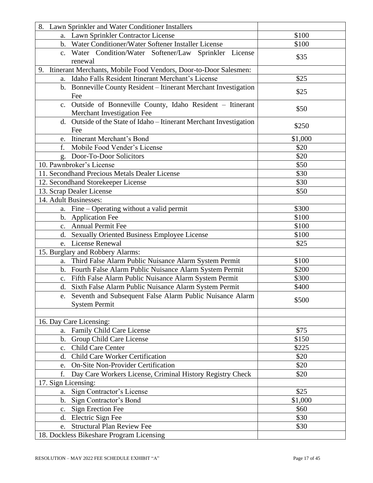| 8. Lawn Sprinkler and Water Conditioner Installers                     |         |
|------------------------------------------------------------------------|---------|
| a. Lawn Sprinkler Contractor License                                   | \$100   |
| b. Water Conditioner/Water Softener Installer License                  | \$100   |
| c. Water Condition/Water Softener/Law Sprinkler License<br>renewal     | \$35    |
| Itinerant Merchants, Mobile Food Vendors, Door-to-Door Salesmen:<br>9. |         |
| a. Idaho Falls Resident Itinerant Merchant's License                   | \$25    |
| b. Bonneville County Resident - Itinerant Merchant Investigation       |         |
| Fee                                                                    | \$25    |
| c. Outside of Bonneville County, Idaho Resident - Itinerant            |         |
| Merchant Investigation Fee                                             | \$50    |
| Outside of the State of Idaho - Itinerant Merchant Investigation<br>d. |         |
| Fee                                                                    | \$250   |
| Itinerant Merchant's Bond<br>e.                                        | \$1,000 |
| Mobile Food Vender's License<br>f.                                     | \$20    |
| g. Door-To-Door Solicitors                                             | \$20    |
| 10. Pawnbroker's License                                               | \$50    |
| 11. Secondhand Precious Metals Dealer License                          | \$30    |
| 12. Secondhand Storekeeper License                                     | \$30    |
| 13. Scrap Dealer License                                               | \$50    |
| 14. Adult Businesses:                                                  |         |
| a. Fine – Operating without a valid permit                             | \$300   |
| b. Application Fee                                                     | \$100   |
| c. Annual Permit Fee                                                   | \$100   |
| d. Sexually Oriented Business Employee License                         | \$100   |
| e. License Renewal                                                     | \$25    |
| 15. Burglary and Robbery Alarms:                                       |         |
| a. Third False Alarm Public Nuisance Alarm System Permit               | \$100   |
| b. Fourth False Alarm Public Nuisance Alarm System Permit              | \$200   |
| c. Fifth False Alarm Public Nuisance Alarm System Permit               | \$300   |
| d. Sixth False Alarm Public Nuisance Alarm System Permit               | \$400   |
| e. Seventh and Subsequent False Alarm Public Nuisance Alarm            | \$500   |
| <b>System Permit</b>                                                   |         |
|                                                                        |         |
| 16. Day Care Licensing:                                                |         |
| Family Child Care License<br>a.                                        | \$75    |
| b. Group Child Care License                                            | \$150   |
| Child Care Center<br>$c_{\cdot}$                                       | \$225   |
| d. Child Care Worker Certification                                     | \$20    |
| <b>On-Site Non-Provider Certification</b><br>e.                        | \$20    |
| Day Care Workers License, Criminal History Registry Check<br>f.        | \$20    |
| 17. Sign Licensing:                                                    |         |
| Sign Contractor's License<br>a.                                        | \$25    |
| Sign Contractor's Bond<br>b.                                           | \$1,000 |
| c. Sign Erection Fee                                                   | \$60    |
| d. Electric Sign Fee                                                   | \$30    |
| e. Structural Plan Review Fee                                          | \$30    |
| 18. Dockless Bikeshare Program Licensing                               |         |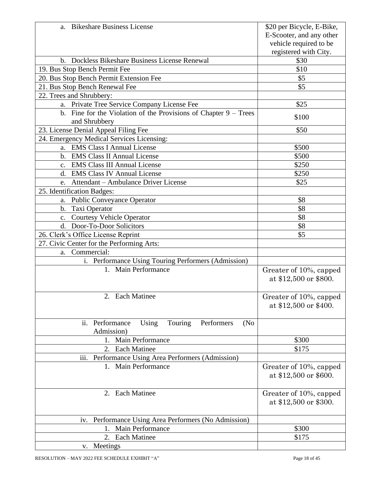| a. Bikeshare Business License                                                           | \$20 per Bicycle, E-Bike,                       |
|-----------------------------------------------------------------------------------------|-------------------------------------------------|
|                                                                                         | E-Scooter, and any other                        |
|                                                                                         | vehicle required to be                          |
|                                                                                         | registered with City.                           |
| b. Dockless Bikeshare Business License Renewal                                          | \$30                                            |
| 19. Bus Stop Bench Permit Fee                                                           | \$10                                            |
| 20. Bus Stop Bench Permit Extension Fee                                                 | \$5                                             |
| 21. Bus Stop Bench Renewal Fee                                                          | \$5                                             |
| 22. Trees and Shrubbery:                                                                |                                                 |
| a. Private Tree Service Company License Fee                                             | \$25                                            |
| b. Fine for the Violation of the Provisions of Chapter $9 - Trees$<br>and Shrubbery     | \$100                                           |
| 23. License Denial Appeal Filing Fee                                                    | \$50                                            |
| 24. Emergency Medical Services Licensing:                                               |                                                 |
| a. EMS Class I Annual License                                                           | \$500                                           |
| b. EMS Class II Annual License                                                          | \$500                                           |
| c. EMS Class III Annual License                                                         | \$250                                           |
| d. EMS Class IV Annual License                                                          | \$250                                           |
| Attendant - Ambulance Driver License<br>e.                                              | \$25                                            |
| 25. Identification Badges:                                                              |                                                 |
| a. Public Conveyance Operator                                                           | \$8                                             |
| b. Taxi Operator                                                                        | \$8                                             |
| c. Courtesy Vehicle Operator                                                            | \$8                                             |
| d. Door-To-Door Solicitors                                                              | \$8                                             |
| 26. Clerk's Office License Reprint                                                      | \$5                                             |
| 27. Civic Center for the Performing Arts:                                               |                                                 |
| a. Commercial:                                                                          |                                                 |
| i. Performance Using Touring Performers (Admission)                                     |                                                 |
| 1. Main Performance                                                                     | Greater of 10%, capped<br>at \$12,500 or \$800. |
| 2. Each Matinee                                                                         | Greater of 10%, capped<br>at \$12,500 or \$400. |
| Performers<br>Performance<br>Using<br>Touring<br>(N <sub>0</sub> )<br>ii.<br>Admission) |                                                 |
| Main Performance<br>1.                                                                  | \$300                                           |
| 2. Each Matinee                                                                         | \$175                                           |
| Performance Using Area Performers (Admission)<br>iii.                                   |                                                 |
| 1. Main Performance                                                                     | Greater of 10%, capped<br>at \$12,500 or \$600. |
| 2. Each Matinee                                                                         | Greater of 10%, capped<br>at \$12,500 or \$300. |
| iv. Performance Using Area Performers (No Admission)                                    |                                                 |
| <b>Main Performance</b>                                                                 | \$300                                           |
| 2. Each Matinee                                                                         | \$175                                           |
| v. Meetings                                                                             |                                                 |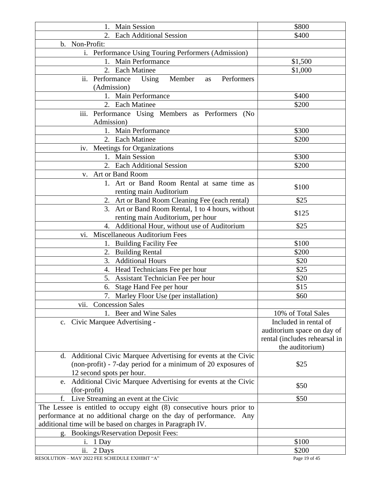| 1. Main Session                                                       | \$800                         |
|-----------------------------------------------------------------------|-------------------------------|
| 2. Each Additional Session                                            | \$400                         |
| b. Non-Profit:                                                        |                               |
| i. Performance Using Touring Performers (Admission)                   |                               |
| 1. Main Performance                                                   | \$1,500                       |
| 2. Each Matinee                                                       | \$1,000                       |
| ii. Performance Using<br>Member<br>Performers<br>as                   |                               |
| (Admission)                                                           |                               |
| 1. Main Performance                                                   | \$400                         |
| 2. Each Matinee                                                       | \$200                         |
| iii. Performance Using Members as Performers (No                      |                               |
| Admission)                                                            |                               |
| 1. Main Performance                                                   | \$300                         |
| 2. Each Matinee                                                       | \$200                         |
| iv. Meetings for Organizations                                        |                               |
| 1. Main Session                                                       | \$300                         |
| 2. Each Additional Session                                            | \$200                         |
| v. Art or Band Room                                                   |                               |
| 1. Art or Band Room Rental at same time as                            |                               |
| renting main Auditorium                                               | \$100                         |
| 2. Art or Band Room Cleaning Fee (each rental)                        | \$25                          |
| 3. Art or Band Room Rental, 1 to 4 hours, without                     |                               |
| renting main Auditorium, per hour                                     | \$125                         |
| 4. Additional Hour, without use of Auditorium                         | \$25                          |
| Miscellaneous Auditorium Fees<br>vi.                                  |                               |
| 1. Building Facility Fee                                              | \$100                         |
| 2. Building Rental                                                    | \$200                         |
| <b>Additional Hours</b><br>3.                                         | \$20                          |
| 4. Head Technicians Fee per hour                                      | \$25                          |
| 5. Assistant Technician Fee per hour                                  | \$20                          |
| 6. Stage Hand Fee per hour                                            | \$15                          |
| 7. Marley Floor Use (per installation)                                | \$60                          |
| <b>Concession Sales</b><br>vii.                                       |                               |
| 1. Beer and Wine Sales                                                | 10% of Total Sales            |
| c. Civic Marquee Advertising -                                        | Included in rental of         |
|                                                                       | auditorium space on day of    |
|                                                                       | rental (includes rehearsal in |
|                                                                       | the auditorium)               |
| d. Additional Civic Marquee Advertising for events at the Civic       |                               |
| (non-profit) - 7-day period for a minimum of 20 exposures of          | \$25                          |
| 12 second spots per hour.                                             |                               |
| Additional Civic Marquee Advertising for events at the Civic<br>e.    |                               |
| (for-profit)                                                          | \$50                          |
| Live Streaming an event at the Civic<br>f.                            | \$50                          |
| The Lessee is entitled to occupy eight (8) consecutive hours prior to |                               |
| performance at no additional charge on the day of performance. Any    |                               |
| additional time will be based on charges in Paragraph IV.             |                               |
| g. Bookings/Reservation Deposit Fees:                                 |                               |
| 1 Day<br>1.                                                           | \$100                         |
| ii.<br>2 Days                                                         | \$200                         |
|                                                                       |                               |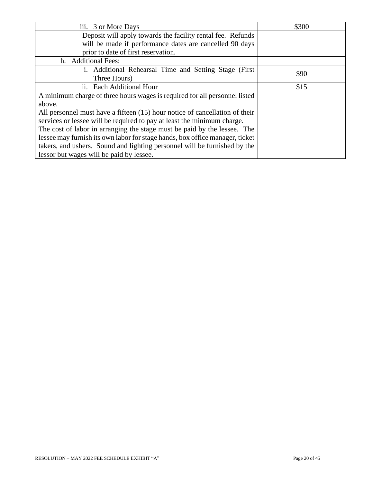| iii. 3 or More Days                                                          | \$300 |
|------------------------------------------------------------------------------|-------|
| Deposit will apply towards the facility rental fee. Refunds                  |       |
| will be made if performance dates are cancelled 90 days                      |       |
| prior to date of first reservation.                                          |       |
| h. Additional Fees:                                                          |       |
| i. Additional Rehearsal Time and Setting Stage (First)                       | \$90  |
| Three Hours)                                                                 |       |
| ii. Each Additional Hour                                                     | \$15  |
| A minimum charge of three hours wages is required for all personnel listed   |       |
| above.                                                                       |       |
| All personnel must have a fifteen (15) hour notice of cancellation of their  |       |
| services or lessee will be required to pay at least the minimum charge.      |       |
| The cost of labor in arranging the stage must be paid by the lessee. The     |       |
| lessee may furnish its own labor for stage hands, box office manager, ticket |       |
| takers, and ushers. Sound and lighting personnel will be furnished by the    |       |
| lessor but wages will be paid by lessee.                                     |       |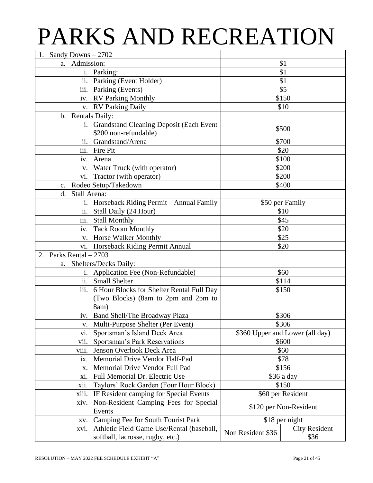## PARKS AND RECREATION

| 1. Sandy Downs $-2702$                            |                   |                                 |
|---------------------------------------------------|-------------------|---------------------------------|
| Admission:<br>a.                                  |                   | \$1                             |
| i. Parking:                                       |                   | \$1                             |
| ii. Parking (Event Holder)                        | \$1               |                                 |
| iii. Parking (Events)                             |                   | \$5                             |
| iv. RV Parking Monthly                            |                   | \$150                           |
| v. RV Parking Daily                               |                   | \$10                            |
| b. Rentals Daily:                                 |                   |                                 |
| i. Grandstand Cleaning Deposit (Each Event        |                   |                                 |
| \$200 non-refundable)                             |                   | \$500                           |
| ii. Grandstand/Arena                              |                   | \$700                           |
| $\overline{\text{iii}}$ . Fire Pit                |                   | \$20                            |
| iv. Arena                                         |                   | \$100                           |
| Water Truck (with operator)<br>V.                 |                   | \$200                           |
| Tractor (with operator)<br>Vİ.                    |                   | \$200                           |
| Rodeo Setup/Takedown<br>$C_{\bullet}$             |                   | \$400                           |
| Stall Arena:<br>d.                                |                   |                                 |
| i. Horseback Riding Permit - Annual Family        |                   | \$50 per Family                 |
| ii. Stall Daily (24 Hour)                         |                   | \$10                            |
| iii.<br><b>Stall Monthly</b>                      |                   | \$45                            |
| <b>Tack Room Monthly</b><br>iv.                   |                   | \$20                            |
| v. Horse Walker Monthly                           |                   | \$25                            |
| vi. Horseback Riding Permit Annual                | \$20              |                                 |
| Parks Rental $-2703$<br>2.                        |                   |                                 |
| Shelters/Decks Daily:<br>a.                       |                   |                                 |
| i. Application Fee (Non-Refundable)               |                   | \$60                            |
| $\overline{ii}$ .<br><b>Small Shelter</b>         |                   | \$114                           |
| iii. 6 Hour Blocks for Shelter Rental Full Day    |                   | \$150                           |
| (Two Blocks) (8am to 2pm and 2pm to               |                   |                                 |
| 8am)                                              |                   |                                 |
| iv. Band Shell/The Broadway Plaza                 |                   | \$306                           |
| v. Multi-Purpose Shelter (Per Event)              |                   | \$306                           |
| Sportsman's Island Deck Area<br>V1.               |                   | \$360 Upper and Lower (all day) |
| Sportsman's Park Reservations<br>vii.             |                   | \$600                           |
| viii.<br>Jenson Overlook Deck Area                |                   | \$60                            |
| Memorial Drive Vendor Half-Pad<br>ix.             |                   | \$78                            |
| Memorial Drive Vendor Full Pad<br>X.              |                   | \$156                           |
| Full Memorial Dr. Electric Use<br>xi.             |                   | \$36 a day                      |
| Taylors' Rock Garden (Four Hour Block)<br>X11.    |                   | \$150                           |
| xiii.<br>IF Resident camping for Special Events   | \$60 per Resident |                                 |
| Non-Resident Camping Fees for Special<br>xiv.     |                   |                                 |
| Events                                            |                   | \$120 per Non-Resident          |
| Camping Fee for South Tourist Park<br>XV.         | \$18 per night    |                                 |
| Athletic Field Game Use/Rental (baseball,<br>xvi. |                   | <b>City Resident</b>            |
| softball, lacrosse, rugby, etc.)                  | Non Resident \$36 | \$36                            |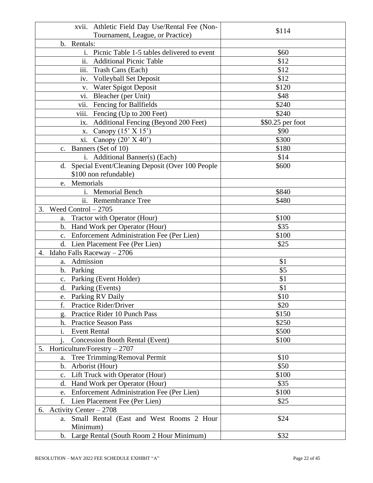| xvii. Athletic Field Day Use/Rental Fee (Non-                    |                   |
|------------------------------------------------------------------|-------------------|
| Tournament, League, or Practice)                                 | \$114             |
| Rentals:<br>b.                                                   |                   |
| Picnic Table 1-5 tables delivered to event<br>i.                 | \$60              |
| ii.<br><b>Additional Picnic Table</b>                            | \$12              |
| iii.<br>Trash Cans (Each)                                        | \$12              |
| iv. Volleyball Set Deposit                                       | \$12              |
| v. Water Spigot Deposit                                          | \$120             |
| Bleacher (per Unit)<br>V1.                                       | \$48              |
| vii.<br><b>Fencing for Ballfields</b>                            | \$240             |
| viii.<br>Fencing (Up to 200 Feet)                                | \$240             |
| <b>Additional Fencing (Beyond 200 Feet)</b><br>$\overline{1}X$ . | \$\$0.25 per foot |
| x. Canopy $(15' \times 15')$                                     | \$90              |
| xi.<br>Canopy $(20'$ X 40')                                      | \$300             |
| c. Banners (Set of 10)                                           | \$180             |
| i. Additional Banner(s) (Each)                                   | \$14              |
| d. Special Event/Cleaning Deposit (Over 100 People               | \$600             |
| \$100 non refundable)                                            |                   |
| Memorials<br>e.                                                  |                   |
| i. Memorial Bench                                                | \$840             |
| ii. Remembrance Tree                                             | \$480             |
| Weed Control $-2705$<br>3.                                       |                   |
| a. Tractor with Operator (Hour)                                  | \$100             |
| b. Hand Work per Operator (Hour)                                 | \$35              |
| c. Enforcement Administration Fee (Per Lien)                     | \$100             |
| d. Lien Placement Fee (Per Lien)                                 | \$25              |
| Idaho Falls Raceway - 2706<br>4.                                 |                   |
| a. Admission                                                     | \$1               |
| b. Parking                                                       | \$5               |
| c. Parking (Event Holder)                                        | \$1               |
| d. Parking (Events)                                              | \$1               |
| Parking RV Daily<br>e.                                           | \$10              |
| f.<br>Practice Rider/Driver                                      | \$20              |
| Practice Rider 10 Punch Pass<br>g.                               | \$150             |
| h. Practice Season Pass                                          | \$250             |
| <b>Event Rental</b><br>$\mathbf{i}$ .                            | \$500             |
| <b>Concession Booth Rental (Event)</b>                           | \$100             |
| Horticulture/Forestry $-2707$<br>5.                              |                   |
| Tree Trimming/Removal Permit<br>a.                               | \$10              |
| b. Arborist (Hour)                                               | \$50              |
| c. Lift Truck with Operator (Hour)                               | \$100             |
| d.<br>Hand Work per Operator (Hour)                              | \$35              |
| Enforcement Administration Fee (Per Lien)<br>e.                  | \$100             |
| f.<br>Lien Placement Fee (Per Lien)                              | \$25              |
| 6. Activity Center $-2708$                                       |                   |
| Small Rental (East and West Rooms 2 Hour<br>a.                   | \$24              |
| Minimum)                                                         |                   |
| b. Large Rental (South Room 2 Hour Minimum)                      | \$32              |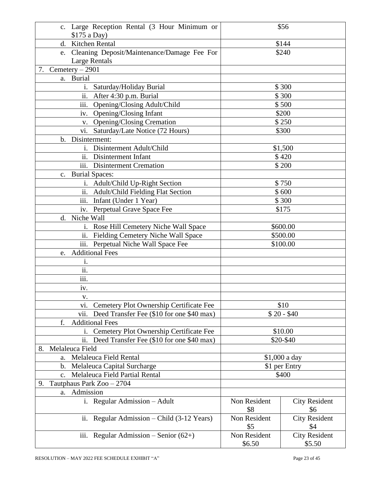| c. Large Reception Rental (3 Hour Minimum or<br>\$175 a Day)              | \$56                   |                                |
|---------------------------------------------------------------------------|------------------------|--------------------------------|
| Kitchen Rental<br>d.                                                      | \$144                  |                                |
| Cleaning Deposit/Maintenance/Damage Fee For<br>e.                         | \$240                  |                                |
| <b>Large Rentals</b>                                                      |                        |                                |
| 7. Cemetery $-2901$                                                       |                        |                                |
| a. Burial                                                                 |                        |                                |
| i. Saturday/Holiday Burial                                                |                        | \$300                          |
| ii.<br>After 4:30 p.m. Burial                                             |                        | \$300                          |
| iii.                                                                      |                        |                                |
| Opening/Closing Adult/Child                                               |                        | \$500                          |
| iv. Opening/Closing Infant                                                |                        | \$200                          |
| v. Opening/Closing Cremation                                              |                        | \$250                          |
| vi. Saturday/Late Notice (72 Hours)                                       |                        | \$300                          |
| Disinterment:<br>$\mathbf{b}$ .                                           |                        |                                |
| i. Disinterment Adult/Child                                               |                        | \$1,500                        |
| ii. Disinterment Infant                                                   |                        | \$420                          |
| iii. Disinterment Cremation                                               |                        | \$200                          |
| c. Burial Spaces:                                                         |                        |                                |
| i. Adult/Child Up-Right Section                                           |                        | \$750                          |
| ii. Adult/Child Fielding Flat Section                                     |                        | \$600                          |
| iii. Infant (Under 1 Year)                                                |                        | \$300                          |
| iv. Perpetual Grave Space Fee                                             |                        | \$175                          |
| d. Niche Wall                                                             |                        |                                |
| i. Rose Hill Cemetery Niche Wall Space                                    | \$600.00               |                                |
| ii. Fielding Cemetery Niche Wall Space                                    | \$500.00               |                                |
| iii. Perpetual Niche Wall Space Fee                                       |                        | \$100.00                       |
| <b>Additional Fees</b><br>e.                                              |                        |                                |
| i.                                                                        |                        |                                |
| ii.                                                                       |                        |                                |
| iii.                                                                      |                        |                                |
| iv.                                                                       |                        |                                |
| V.                                                                        |                        |                                |
| Cemetery Plot Ownership Certificate Fee<br>vi.                            |                        | \$10                           |
| vii.                                                                      |                        | $$20 - $40$                    |
| Deed Transfer Fee (\$10 for one \$40 max)<br><b>Additional Fees</b><br>f. |                        |                                |
|                                                                           |                        |                                |
| Cemetery Plot Ownership Certificate Fee<br>i.                             |                        | \$10.00                        |
| ii.<br>Deed Transfer Fee (\$10 for one \$40 max)                          |                        | \$20-\$40                      |
| Melaleuca Field<br>8.                                                     |                        |                                |
| Melaleuca Field Rental<br>a.                                              |                        | \$1,000 a day                  |
| Melaleuca Capital Surcharge<br>$\mathbf{b}$ .                             | \$1 per Entry          |                                |
| Melaleuca Field Partial Rental<br>$\mathbf{c}$ .                          | \$400                  |                                |
| Tautphaus Park Zoo - 2704<br>9.                                           |                        |                                |
| Admission<br>a.                                                           |                        |                                |
| i. Regular Admission - Adult                                              | Non Resident<br>\$8    | <b>City Resident</b><br>\$6    |
| Regular Admission – Child $(3-12$ Years)<br>ii.                           | Non Resident<br>\$5    | <b>City Resident</b><br>\$4    |
| iii. Regular Admission - Senior $(62+)$                                   | Non Resident<br>\$6.50 | <b>City Resident</b><br>\$5.50 |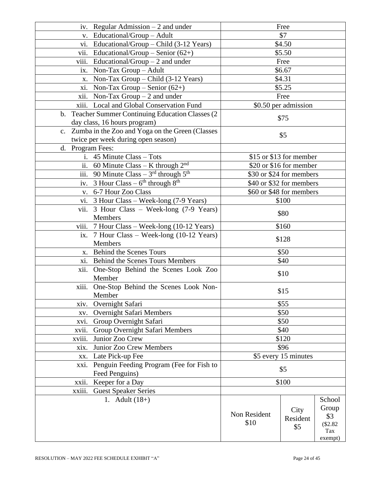| iv. Regular Admission $-2$ and under               | Free                 |                          |               |
|----------------------------------------------------|----------------------|--------------------------|---------------|
| v. Educational/Group - Adult                       |                      | \$7                      |               |
| vi. Educational/Group – Child $(3-12$ Years)       |                      | \$4.50                   |               |
| Educational/Group – Senior $(62+)$<br>V11.         |                      | \$5.50                   |               |
| viii.<br>Educational/Group $-2$ and under          |                      | Free                     |               |
| Non-Tax Group $-$ Adult<br>ix.                     |                      | \$6.67                   |               |
| Non-Tax Group – Child $(3-12$ Years)<br>X.         |                      | \$4.31                   |               |
| xi. Non-Tax Group - Senior $(62+)$                 |                      | \$5.25                   |               |
| xii. Non-Tax Group $-2$ and under                  |                      | Free                     |               |
| xiii. Local and Global Conservation Fund           |                      | \$0.50 per admission     |               |
| b. Teacher Summer Continuing Education Classes (2) |                      |                          |               |
| day class, 16 hours program)                       |                      | \$75                     |               |
| c. Zumba in the Zoo and Yoga on the Green (Classes |                      |                          |               |
| twice per week during open season)                 |                      | \$5                      |               |
| d. Program Fees:                                   |                      |                          |               |
| i. 45 Minute Class - Tots                          |                      | \$15 or \$13 for member  |               |
| ii. 60 Minute Class - K through $2^{nd}$           |                      | \$20 or \$16 for member  |               |
| iii. 90 Minute Class $-3^{rd}$ through $5^{th}$    |                      | \$30 or \$24 for members |               |
| iv. 3 Hour Class $-6^{th}$ through $8^{th}$        |                      | \$40 or \$32 for members |               |
| 6-7 Hour Zoo Class<br>V.                           |                      | \$60 or \$48 for members |               |
| vi. 3 Hour Class - Week-long (7-9 Years)           |                      | \$100                    |               |
| vii.<br>3 Hour Class – Week-long (7-9 Years)       |                      | \$80                     |               |
| <b>Members</b>                                     |                      |                          |               |
| viii. 7 Hour Class - Week-long (10-12 Years)       | \$160                |                          |               |
| ix. 7 Hour Class - Week-long (10-12 Years)         |                      |                          |               |
| Members                                            | \$128                |                          |               |
| x. Behind the Scenes Tours                         | \$50                 |                          |               |
| <b>Behind the Scenes Tours Members</b><br>xi.      | \$40                 |                          |               |
| xii. One-Stop Behind the Scenes Look Zoo           | \$10                 |                          |               |
| Member                                             |                      |                          |               |
| xiii. One-Stop Behind the Scenes Look Non-         |                      | \$15                     |               |
| Member                                             |                      |                          |               |
| Overnight Safari<br>XIV.                           |                      | \$55                     |               |
| Overnight Safari Members<br>XV.                    |                      | \$50                     |               |
| Group Overnight Safari<br>xvi.                     |                      | \$50                     |               |
| Group Overnight Safari Members<br>xvii.            | \$40                 |                          |               |
| xviii.<br>Junior Zoo Crew                          |                      | \$120                    |               |
| Junior Zoo Crew Members<br>xix.                    | \$96                 |                          |               |
| Late Pick-up Fee<br>XX.                            | \$5 every 15 minutes |                          |               |
| Penguin Feeding Program (Fee for Fish to<br>xxi.   | \$5                  |                          |               |
| Feed Penguins)                                     |                      |                          |               |
| Keeper for a Day<br>xxii.                          | \$100                |                          |               |
| xxiii.<br><b>Guest Speaker Series</b>              |                      |                          |               |
| 1. Adult $(18+)$                                   |                      |                          | School        |
|                                                    | Non Resident         | City                     | Group         |
|                                                    | \$10                 | Resident                 | \$3           |
|                                                    |                      | \$5                      | \$2.82<br>Tax |
|                                                    |                      |                          | exempt)       |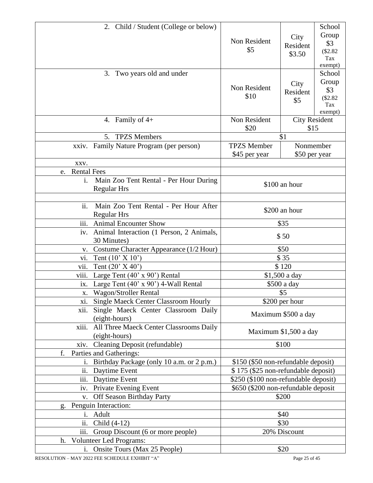| 2. Child / Student (College or below)                                          |                                      |                              | School                                              |
|--------------------------------------------------------------------------------|--------------------------------------|------------------------------|-----------------------------------------------------|
|                                                                                | Non Resident<br>\$5                  | City<br>Resident<br>\$3.50   | Group<br>\$3<br>\$2.82<br>Tax                       |
|                                                                                |                                      |                              | exempt)                                             |
| Two years old and under<br>3.                                                  | Non Resident<br>\$10                 | City<br>Resident<br>\$5      | School<br>Group<br>\$3<br>(\$2.82<br>Tax<br>exempt) |
| 4. Family of $4+$                                                              | Non Resident<br>\$20                 | <b>City Resident</b><br>\$15 |                                                     |
| <b>TPZS</b> Members<br>5 <sub>1</sub>                                          |                                      | \$1                          |                                                     |
| xxiv. Family Nature Program (per person)                                       | <b>TPZS</b> Member<br>\$45 per year  | Nonmember<br>\$50 per year   |                                                     |
| XXV.                                                                           |                                      |                              |                                                     |
| <b>Rental Fees</b><br>e.                                                       |                                      |                              |                                                     |
| $\mathbf{i}$ .<br>Main Zoo Tent Rental - Per Hour During<br><b>Regular Hrs</b> |                                      | \$100 an hour                |                                                     |
| ii.<br>Main Zoo Tent Rental - Per Hour After                                   |                                      | \$200 an hour                |                                                     |
| <b>Regular Hrs</b>                                                             |                                      |                              |                                                     |
| <b>Animal Encounter Show</b><br>111.                                           |                                      | \$35                         |                                                     |
| Animal Interaction (1 Person, 2 Animals,<br>iv.<br>30 Minutes)                 |                                      | \$50                         |                                                     |
| Costume Character Appearance (1/2 Hour)<br>v.                                  |                                      | \$50                         |                                                     |
| Tent $(10' \times 10')$<br>vi.                                                 | \$35                                 |                              |                                                     |
| vii.<br>Tent $(20' X 40')$                                                     |                                      | \$120                        |                                                     |
| viii.<br>Large Tent $(40' \times 90')$ Rental                                  | \$1,500 a day                        |                              |                                                     |
| Large Tent $(40' \times 90')$ 4-Wall Rental<br>ix.                             |                                      | \$500 a day                  |                                                     |
| <b>Wagon/Stroller Rental</b><br>X.                                             |                                      | \$5                          |                                                     |
| xi. Single Maeck Center Classroom Hourly                                       |                                      | \$200 per hour               |                                                     |
| Single Maeck Center Classroom Daily<br>xii.<br>(eight-hours)                   |                                      | Maximum \$500 a day          |                                                     |
| xiii.<br>All Three Maeck Center Classrooms Daily<br>(eight-hours)              |                                      | Maximum \$1,500 a day        |                                                     |
| xiv. Cleaning Deposit (refundable)                                             |                                      | \$100                        |                                                     |
| f.<br>Parties and Gatherings:                                                  |                                      |                              |                                                     |
| Birthday Package (only 10 a.m. or 2 p.m.)<br>İ.                                | \$150 (\$50 non-refundable deposit)  |                              |                                                     |
| ii. Daytime Event                                                              | \$175 (\$25 non-refundable deposit)  |                              |                                                     |
| iii.<br>Daytime Event                                                          | \$250 (\$100 non-refundable deposit) |                              |                                                     |
| iv. Private Evening Event                                                      | \$650 (\$200 non-refundable deposit  |                              |                                                     |
| v. Off Season Birthday Party                                                   |                                      | \$200                        |                                                     |
| Penguin Interaction:<br>g.                                                     |                                      |                              |                                                     |
| i. Adult                                                                       |                                      | \$40                         |                                                     |
| $\overline{ii}$ .<br>Child $(4-12)$                                            |                                      | \$30                         |                                                     |
| iii.<br>Group Discount (6 or more people)                                      |                                      | 20% Discount                 |                                                     |
| h. Volunteer Led Programs:                                                     |                                      |                              |                                                     |
| i. Onsite Tours (Max 25 People)                                                |                                      | \$20                         |                                                     |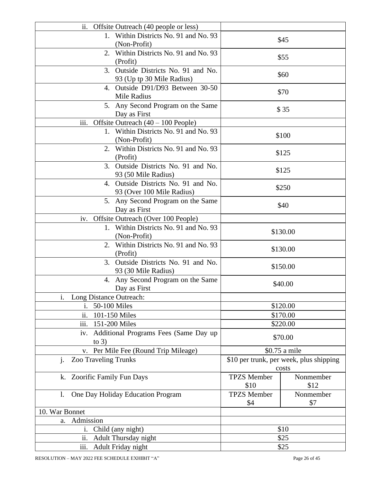| ii.<br>Offsite Outreach (40 people or less)  |                                 |                                         |
|----------------------------------------------|---------------------------------|-----------------------------------------|
| 1. Within Districts No. 91 and No. 93        |                                 |                                         |
| (Non-Profit)                                 |                                 | \$45                                    |
| 2. Within Districts No. 91 and No. 93        | \$55                            |                                         |
| (Profit)                                     |                                 |                                         |
| 3. Outside Districts No. 91 and No.          |                                 | \$60                                    |
| 93 (Up tp 30 Mile Radius)                    |                                 |                                         |
| 4. Outside D91/D93 Between 30-50             |                                 | \$70                                    |
| Mile Radius                                  |                                 |                                         |
| 5. Any Second Program on the Same            |                                 | \$35                                    |
| Day as First                                 |                                 |                                         |
| iii.<br>Offsite Outreach $(40 - 100$ People) |                                 |                                         |
| 1. Within Districts No. 91 and No. 93        |                                 | \$100                                   |
| (Non-Profit)                                 |                                 |                                         |
| 2. Within Districts No. 91 and No. 93        |                                 | \$125                                   |
| (Profit)                                     |                                 |                                         |
| 3. Outside Districts No. 91 and No.          |                                 | \$125                                   |
| 93 (50 Mile Radius)                          |                                 |                                         |
| 4. Outside Districts No. 91 and No.          |                                 | \$250                                   |
| 93 (Over 100 Mile Radius)                    |                                 |                                         |
| 5. Any Second Program on the Same            |                                 | \$40                                    |
| Day as First                                 |                                 |                                         |
| Offsite Outreach (Over 100 People)<br>iv.    |                                 |                                         |
| 1. Within Districts No. 91 and No. 93        | \$130.00                        |                                         |
| (Non-Profit)                                 |                                 |                                         |
| 2. Within Districts No. 91 and No. 93        | \$130.00                        |                                         |
| (Profit)                                     |                                 |                                         |
| 3. Outside Districts No. 91 and No.          | \$150.00                        |                                         |
| 93 (30 Mile Radius)                          |                                 |                                         |
| 4. Any Second Program on the Same            |                                 | \$40.00                                 |
| Day as First                                 |                                 |                                         |
| Long Distance Outreach:<br>1.                |                                 |                                         |
| 50-100 Miles<br>i.                           |                                 | \$120.00                                |
| ii.<br>101-150 Miles                         |                                 | \$170.00                                |
| iii.<br>151-200 Miles                        |                                 | \$220.00                                |
| Additional Programs Fees (Same Day up<br>iv. |                                 |                                         |
| to $3)$                                      | \$70.00                         |                                         |
| v. Per Mile Fee (Round Trip Mileage)         |                                 | \$0.75 a mile                           |
| <b>Zoo Traveling Trunks</b><br>j.            |                                 | \$10 per trunk, per week, plus shipping |
|                                              |                                 | costs                                   |
| k. Zoorific Family Fun Days                  | <b>TPZS</b> Member              | Nonmember                               |
|                                              | \$10                            | \$12                                    |
| One Day Holiday Education Program<br>1.      | <b>TPZS</b> Member<br>Nonmember |                                         |
|                                              | \$4                             | \$7                                     |
| 10. War Bonnet                               |                                 |                                         |
| Admission<br>a.                              |                                 |                                         |
| Child (any night)<br>i.                      | \$10                            |                                         |
| ii.<br>Adult Thursday night                  | \$25                            |                                         |
| iii.<br>Adult Friday night                   | \$25                            |                                         |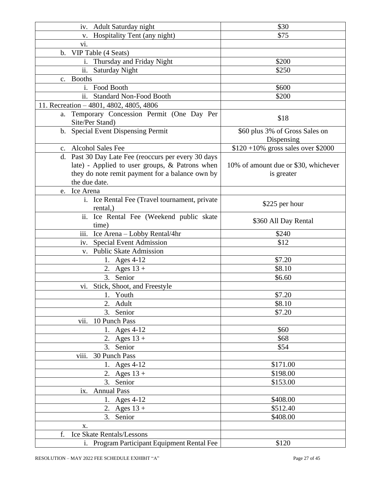| <b>Adult Saturday night</b><br>iv.                  | \$30                                  |
|-----------------------------------------------------|---------------------------------------|
| Hospitality Tent (any night)<br>V.                  | \$75                                  |
| Vİ.                                                 |                                       |
| VIP Table (4 Seats)<br>$\mathbf{b}$ .               |                                       |
| Thursday and Friday Night<br>1.                     | \$200                                 |
| ii.<br><b>Saturday Night</b>                        | \$250                                 |
| <b>Booths</b><br>$c_{\cdot}$                        |                                       |
| Food Booth<br>$\mathbf{1}$ .                        | \$600                                 |
| <b>Standard Non-Food Booth</b><br>11.               | \$200                                 |
| 11. Recreation - 4801, 4802, 4805, 4806             |                                       |
| Temporary Concession Permit (One Day Per<br>a.      |                                       |
| Site/Per Stand)                                     | \$18                                  |
| b. Special Event Dispensing Permit                  | \$60 plus 3% of Gross Sales on        |
|                                                     | Dispensing                            |
| <b>Alcohol Sales Fee</b><br>$c_{\cdot}$             | $$120 + 10\%$ gross sales over \$2000 |
| d. Past 30 Day Late Fee (reoccurs per every 30 days |                                       |
| late) - Applied to user groups, & Patrons when      | 10% of amount due or \$30, whichever  |
| they do note remit payment for a balance own by     | is greater                            |
| the due date.                                       |                                       |
| Ice Arena<br>e.                                     |                                       |
| i. Ice Rental Fee (Travel tournament, private       |                                       |
| rental,)                                            | \$225 per hour                        |
| ii. Ice Rental Fee (Weekend public skate            |                                       |
| time)                                               | \$360 All Day Rental                  |
| iii. Ice Arena - Lobby Rental/4hr                   | \$240                                 |
| <b>Special Event Admission</b><br>iv.               | \$12                                  |
| v. Public Skate Admission                           |                                       |
| 1. Ages $4-12$                                      | \$7.20                                |
| 2. Ages $13 +$                                      | \$8.10                                |
| 3.<br>Senior                                        | \$6.60                                |
| Stick, Shoot, and Freestyle<br>V1.                  |                                       |
| 1. Youth                                            | \$7.20                                |
| 2. Adult                                            | \$8.10                                |
| 3.<br>Senior                                        | \$7.20                                |
| vii.<br>10 Punch Pass                               |                                       |
| 1. Ages 4-12                                        | \$60                                  |
| 2. Ages $13 +$                                      | \$68                                  |
| 3.<br>Senior                                        | \$54                                  |
| viii.<br>30 Punch Pass                              |                                       |
| 1. Ages 4-12                                        | \$171.00                              |
| 2. Ages $13 +$                                      | \$198.00                              |
| 3. Senior                                           | \$153.00                              |
| ix. Annual Pass                                     |                                       |
| 1. Ages 4-12                                        | \$408.00                              |
| 2. Ages $13 +$                                      | \$512.40                              |
| 3.<br>Senior                                        | \$408.00                              |
| х.                                                  |                                       |
| f.<br>Ice Skate Rentals/Lessons                     |                                       |
| i. Program Participant Equipment Rental Fee         | \$120                                 |
|                                                     |                                       |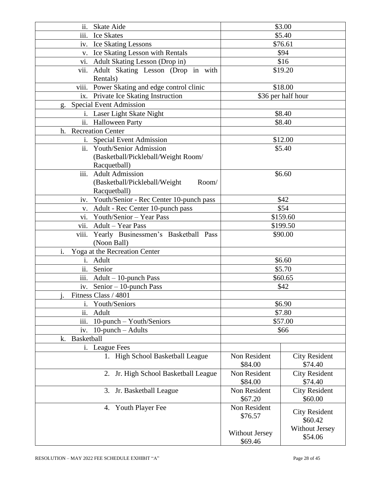| ii. Skate Aide                                 |                       | \$3.00               |
|------------------------------------------------|-----------------------|----------------------|
| iii. Ice Skates                                |                       | \$5.40               |
| iv. Ice Skating Lessons                        | \$76.61               |                      |
| v. Ice Skating Lesson with Rentals             | \$94                  |                      |
| vi. Adult Skating Lesson (Drop in)             |                       | \$16                 |
| Adult Skating Lesson (Drop in with<br>vii.     |                       | \$19.20              |
| Rentals)                                       |                       |                      |
| viii. Power Skating and edge control clinic    |                       | \$18.00              |
| ix. Private Ice Skating Instruction            |                       | \$36 per half hour   |
| <b>Special Event Admission</b><br>g.           |                       |                      |
| i. Laser Light Skate Night                     |                       | \$8.40               |
| ii. Halloween Party                            |                       | \$8.40               |
| <b>Recreation Center</b><br>h.                 |                       |                      |
| Special Event Admission<br>$\mathbf{i}$ .      |                       | \$12.00              |
| ii. Youth/Senior Admission                     |                       | \$5.40               |
| (Basketball/Pickleball/Weight Room/            |                       |                      |
| Racquetball)                                   |                       |                      |
| iii. Adult Admission                           |                       | \$6.60               |
| (Basketball/Pickleball/Weight<br>Room/         |                       |                      |
| Racquetball)                                   |                       |                      |
| Youth/Senior - Rec Center 10-punch pass<br>iv. |                       | \$42                 |
| Adult - Rec Center 10-punch pass<br>V.         |                       | \$54                 |
| vi. Youth/Senior - Year Pass                   |                       | \$159.60             |
| vii. Adult - Year Pass                         |                       | \$199.50             |
| viii.<br>Yearly Businessmen's Basketball Pass  | \$90.00               |                      |
| (Noon Ball)                                    |                       |                      |
| i.<br>Yoga at the Recreation Center            |                       |                      |
| i. Adult                                       | \$6.60                |                      |
| ii. Senior                                     |                       | \$5.70               |
| iii. Adult - 10-punch Pass                     |                       | \$60.65              |
| iv. Senior $-10$ -punch Pass                   |                       | \$42                 |
| Fitness Class / 4801                           |                       |                      |
| Youth/Seniors<br>i.                            |                       | \$6.90               |
| ii.<br>Adult                                   |                       | \$7.80               |
| iii.<br>10-punch – Youth/Seniors               |                       | \$57.00              |
| 10-punch - Adults<br>iv.                       |                       | \$66                 |
| Basketball<br>k.                               |                       |                      |
| i. League Fees                                 |                       |                      |
| 1. High School Basketball League               | Non Resident          | <b>City Resident</b> |
|                                                | \$84.00               | \$74.40              |
| 2. Jr. High School Basketball League           | Non Resident          | <b>City Resident</b> |
|                                                | \$84.00               | \$74.40              |
| Jr. Basketball League<br>3.                    | Non Resident          | <b>City Resident</b> |
|                                                | \$67.20               | \$60.00              |
| <b>Youth Player Fee</b><br>4.                  | Non Resident          | <b>City Resident</b> |
|                                                | \$76.57               | \$60.42              |
|                                                |                       | Without Jersey       |
|                                                | <b>Without Jersey</b> | \$54.06              |
|                                                | \$69.46               |                      |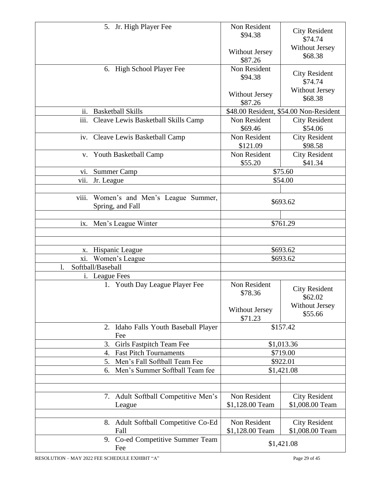| 5. Jr. High Player Fee                                        | Non Resident<br>\$94.38   | <b>City Resident</b><br>\$74.74        |
|---------------------------------------------------------------|---------------------------|----------------------------------------|
|                                                               | Without Jersey<br>\$87.26 | <b>Without Jersey</b><br>\$68.38       |
| 6. High School Player Fee                                     | Non Resident<br>\$94.38   | <b>City Resident</b><br>\$74.74        |
|                                                               | Without Jersey<br>\$87.26 | Without Jersey<br>\$68.38              |
| ii.<br><b>Basketball Skills</b>                               |                           | \$48.00 Resident, \$54.00 Non-Resident |
| Cleave Lewis Basketball Skills Camp<br>iii.                   | Non Resident<br>\$69.46   | <b>City Resident</b><br>\$54.06        |
| iv. Cleave Lewis Basketball Camp                              | Non Resident<br>\$121.09  | <b>City Resident</b><br>\$98.58        |
| v. Youth Basketball Camp                                      | Non Resident<br>\$55.20   | <b>City Resident</b><br>\$41.34        |
| <b>Summer Camp</b><br>V1.                                     |                           | \$75.60                                |
| Jr. League<br>vii.                                            |                           | \$54.00                                |
|                                                               |                           |                                        |
| viii.<br>Women's and Men's League Summer,<br>Spring, and Fall | \$693.62                  |                                        |
|                                                               |                           |                                        |
| Men's League Winter<br>ix.                                    |                           | \$761.29                               |
|                                                               |                           |                                        |
|                                                               |                           |                                        |
| Hispanic League<br>х.                                         |                           | \$693.62                               |
| Women's League<br>xi.<br>Softball/Baseball                    |                           | \$693.62                               |
| 1.                                                            |                           |                                        |
| i. League Fees<br>1. Youth Day League Player Fee              | Non Resident              |                                        |
|                                                               | \$78.36                   | <b>City Resident</b>                   |
|                                                               |                           | \$62.02                                |
|                                                               | Without Jersey            | <b>Without Jersey</b>                  |
|                                                               | \$71.23                   | \$55.66                                |
| 2. Idaho Falls Youth Baseball Player<br>Fee                   |                           | \$157.42                               |
| Girls Fastpitch Team Fee<br>3.                                |                           | \$1,013.36                             |
| <b>Fast Pitch Tournaments</b><br>4.                           |                           | \$719.00                               |
| Men's Fall Softball Team Fee<br>5.                            | \$922.01                  |                                        |
| Men's Summer Softball Team fee<br>6.                          | \$1,421.08                |                                        |
|                                                               |                           |                                        |
|                                                               |                           |                                        |
|                                                               |                           |                                        |
| 7. Adult Softball Competitive Men's                           | Non Resident              | <b>City Resident</b>                   |
| League                                                        | \$1,128.00 Team           | \$1,008.00 Team                        |
|                                                               |                           |                                        |
| 8. Adult Softball Competitive Co-Ed                           | Non Resident              | <b>City Resident</b>                   |
| Fall                                                          | \$1,128.00 Team           | \$1,008.00 Team                        |
| 9. Co-ed Competitive Summer Team<br>Fee                       |                           | \$1,421.08                             |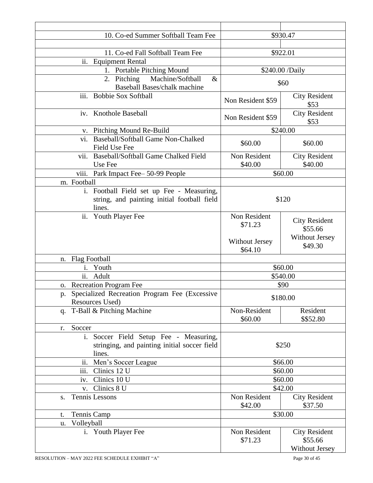| 10. Co-ed Summer Softball Team Fee                                                                 |                                  | \$930.47                                                 |
|----------------------------------------------------------------------------------------------------|----------------------------------|----------------------------------------------------------|
|                                                                                                    |                                  |                                                          |
| 11. Co-ed Fall Softball Team Fee                                                                   | \$922.01                         |                                                          |
| ii. Equipment Rental                                                                               |                                  |                                                          |
| 1. Portable Pitching Mound                                                                         |                                  | \$240.00 /Daily                                          |
| Machine/Softball<br>2. Pitching<br>$\&$<br><b>Baseball Bases/chalk machine</b>                     |                                  | \$60                                                     |
| <b>Bobbie Sox Softball</b><br>iii.                                                                 | Non Resident \$59                | <b>City Resident</b><br>\$53                             |
| iv. Knothole Baseball                                                                              | Non Resident \$59                | <b>City Resident</b><br>\$53                             |
| v. Pitching Mound Re-Build                                                                         |                                  | \$240.00                                                 |
| <b>Baseball/Softball Game Non-Chalked</b><br>vi.<br>Field Use Fee                                  | \$60.00                          | \$60.00                                                  |
| Baseball/Softball Game Chalked Field<br>vii.<br>Use Fee                                            | Non Resident<br>\$40.00          | <b>City Resident</b><br>\$40.00                          |
| viii. Park Impact Fee-50-99 People                                                                 |                                  | \$60.00                                                  |
| m. Football                                                                                        |                                  |                                                          |
| i. Football Field set up Fee - Measuring,<br>string, and painting initial football field<br>lines. | \$120                            |                                                          |
| ii.<br><b>Youth Player Fee</b>                                                                     | Non Resident<br>\$71.23          | <b>City Resident</b><br>\$55.66                          |
|                                                                                                    | <b>Without Jersey</b><br>\$64.10 | Without Jersey<br>\$49.30                                |
| <b>Flag Football</b><br>n.                                                                         |                                  |                                                          |
| Youth<br>$\mathbf{1}$ .                                                                            |                                  | \$60.00                                                  |
| ii.<br>Adult                                                                                       |                                  | \$540.00                                                 |
| o. Recreation Program Fee                                                                          |                                  | \$90                                                     |
| Specialized Recreation Program Fee (Excessive<br>p.<br>Resources Used)                             |                                  | \$180.00                                                 |
| q. T-Ball & Pitching Machine                                                                       | Non-Resident<br>\$60.00          | Resident<br>\$\$52.80                                    |
| Soccer<br>r.                                                                                       |                                  |                                                          |
| i. Soccer Field Setup Fee - Measuring,<br>stringing, and painting initial soccer field<br>lines.   | \$250                            |                                                          |
| ii.<br>Men's Soccer League                                                                         | \$66.00                          |                                                          |
| iii.<br>Clinics 12 U                                                                               | \$60.00                          |                                                          |
| Clinics 10 U<br>iv.                                                                                | \$60.00                          |                                                          |
| Clinics 8 U<br>V.                                                                                  | \$42.00                          |                                                          |
| Tennis Lessons<br>S.                                                                               | Non Resident<br>\$42.00          | <b>City Resident</b><br>\$37.50                          |
| Tennis Camp<br>t.                                                                                  |                                  | \$30.00                                                  |
| Volleyball<br>u.                                                                                   |                                  |                                                          |
| i. Youth Player Fee                                                                                | Non Resident<br>\$71.23          | <b>City Resident</b><br>\$55.66<br><b>Without Jersey</b> |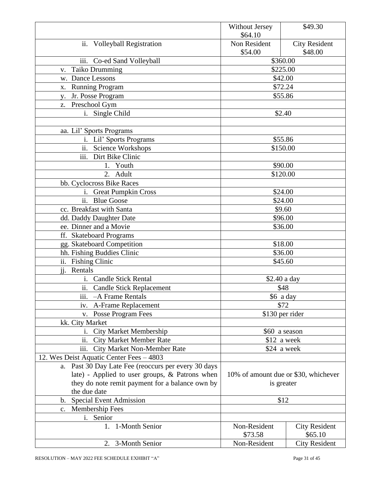|                                                        | <b>Without Jersey</b>                | \$49.30              |
|--------------------------------------------------------|--------------------------------------|----------------------|
|                                                        | \$64.10                              |                      |
| ii. Volleyball Registration                            | Non Resident                         | <b>City Resident</b> |
|                                                        | \$54.00                              | \$48.00              |
| iii. Co-ed Sand Volleyball                             | \$360.00                             |                      |
| <b>Taiko Drumming</b><br>V.                            | \$225.00                             |                      |
| w. Dance Lessons                                       | \$42.00                              |                      |
| <b>Running Program</b><br>X.                           | \$72.24                              |                      |
| Jr. Posse Program<br>V.                                | \$55.86                              |                      |
| Preschool Gym<br>Z.                                    |                                      |                      |
| i. Single Child                                        | \$2.40                               |                      |
|                                                        |                                      |                      |
| aa. Lil' Sports Programs                               |                                      |                      |
| i. Lil' Sports Programs                                | \$55.86                              |                      |
| ii. Science Workshops                                  | \$150.00                             |                      |
| $\overline{\text{iii}}$ .<br>Dirt Bike Clinic          |                                      |                      |
| 1. Youth                                               | \$90.00                              |                      |
| 2. Adult                                               | \$120.00                             |                      |
| bb. Cyclocross Bike Races                              |                                      |                      |
| <b>Great Pumpkin Cross</b><br>i.                       | \$24.00                              |                      |
| $\overline{ii}$ .<br><b>Blue Goose</b>                 | \$24.00                              |                      |
| cc. Breakfast with Santa                               | \$9.60                               |                      |
| dd. Daddy Daughter Date                                | \$96.00                              |                      |
| ee. Dinner and a Movie                                 | \$36.00                              |                      |
| ff. Skateboard Programs                                |                                      |                      |
| gg. Skateboard Competition                             | \$18.00                              |                      |
| hh. Fishing Buddies Clinic                             | \$36.00                              |                      |
| ii. Fishing Clinic                                     | \$45.60                              |                      |
| $\overline{11}$ .<br>Rentals                           |                                      |                      |
| i. Candle Stick Rental                                 | \$2.40 a day                         |                      |
| ii. Candle Stick Replacement                           | \$48                                 |                      |
| $\overline{\text{iii}}$ .<br>-A Frame Rentals          | \$6 a day                            |                      |
| A-Frame Replacement<br>iv.                             | \$72                                 |                      |
| v. Posse Program Fees                                  | \$130 per rider                      |                      |
| kk. City Market                                        |                                      |                      |
| i. City Market Membership                              | \$60 a season                        |                      |
| ii.<br><b>City Market Member Rate</b>                  | \$12 a week                          |                      |
| <b>City Market Non-Member Rate</b><br>iii.             | \$24 a week                          |                      |
| 12. Wes Deist Aquatic Center Fees - 4803               |                                      |                      |
| Past 30 Day Late Fee (reoccurs per every 30 days<br>a. |                                      |                      |
| late) - Applied to user groups, & Patrons when         | 10% of amount due or \$30, whichever |                      |
| they do note remit payment for a balance own by        | is greater                           |                      |
| the due date                                           |                                      |                      |
| <b>Special Event Admission</b><br>b.                   | \$12                                 |                      |
| Membership Fees<br>C <sub>1</sub>                      |                                      |                      |
| i. Senior                                              |                                      |                      |
| 1. 1-Month Senior                                      | Non-Resident                         | <b>City Resident</b> |
|                                                        | \$73.58                              | \$65.10              |
| 2. 3-Month Senior                                      | Non-Resident                         | <b>City Resident</b> |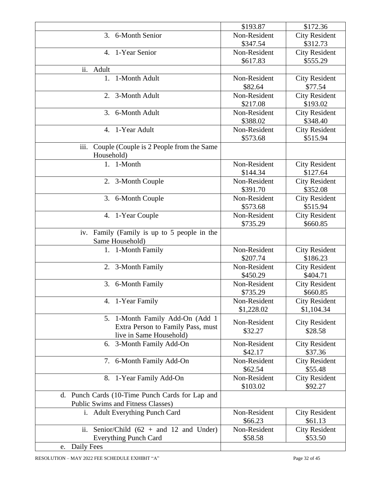|                                                                                      | \$193.87     | \$172.36                        |
|--------------------------------------------------------------------------------------|--------------|---------------------------------|
| 6-Month Senior<br>3.                                                                 | Non-Resident | <b>City Resident</b>            |
|                                                                                      | \$347.54     | \$312.73                        |
| 1-Year Senior<br>$\mathbf{4}$ .                                                      | Non-Resident | <b>City Resident</b>            |
|                                                                                      | \$617.83     | \$555.29                        |
| ii.<br>Adult                                                                         |              |                                 |
| 1-Month Adult<br>1.                                                                  | Non-Resident | <b>City Resident</b>            |
|                                                                                      | \$82.64      | \$77.54                         |
| 2. 3-Month Adult                                                                     | Non-Resident | <b>City Resident</b>            |
|                                                                                      | \$217.08     | \$193.02                        |
| 3. 6-Month Adult                                                                     | Non-Resident | <b>City Resident</b>            |
|                                                                                      | \$388.02     | \$348.40                        |
| 1-Year Adult<br>4.                                                                   | Non-Resident | <b>City Resident</b>            |
|                                                                                      | \$573.68     | \$515.94                        |
| iii.<br>Couple (Couple is 2 People from the Same                                     |              |                                 |
| Household)                                                                           |              |                                 |
| 1. 1-Month                                                                           | Non-Resident | <b>City Resident</b>            |
|                                                                                      | \$144.34     | \$127.64                        |
| 2. 3-Month Couple                                                                    | Non-Resident | <b>City Resident</b>            |
|                                                                                      | \$391.70     | \$352.08                        |
| 3. 6-Month Couple                                                                    | Non-Resident | <b>City Resident</b>            |
|                                                                                      | \$573.68     | \$515.94                        |
| 4. 1-Year Couple                                                                     | Non-Resident | <b>City Resident</b>            |
|                                                                                      | \$735.29     | \$660.85                        |
| Family (Family is up to 5 people in the<br>iv.                                       |              |                                 |
| Same Household)                                                                      |              |                                 |
| 1. 1-Month Family                                                                    | Non-Resident | <b>City Resident</b>            |
|                                                                                      | \$207.74     | \$186.23                        |
| 2. 3-Month Family                                                                    | Non-Resident | <b>City Resident</b>            |
|                                                                                      | \$450.29     | \$404.71                        |
| 6-Month Family<br>3.                                                                 | Non-Resident | <b>City Resident</b>            |
|                                                                                      | \$735.29     | \$660.85                        |
| 4. 1-Year Family                                                                     | Non-Resident | <b>City Resident</b>            |
|                                                                                      | \$1,228.02   | \$1,104.34                      |
| 5. 1-Month Family Add-On (Add 1                                                      | Non-Resident | <b>City Resident</b>            |
| Extra Person to Family Pass, must                                                    | \$32.27      | \$28.58                         |
| live in Same Household)                                                              |              |                                 |
| 6. 3-Month Family Add-On                                                             | Non-Resident | <b>City Resident</b>            |
|                                                                                      | \$42.17      | \$37.36                         |
| 7. 6-Month Family Add-On                                                             | Non-Resident | <b>City Resident</b>            |
|                                                                                      | \$62.54      | \$55.48                         |
| 8. 1-Year Family Add-On                                                              | Non-Resident | <b>City Resident</b>            |
|                                                                                      | \$103.02     | \$92.27                         |
| d. Punch Cards (10-Time Punch Cards for Lap and<br>Public Swims and Fitness Classes) |              |                                 |
|                                                                                      | Non-Resident |                                 |
| i. Adult Everything Punch Card                                                       | \$66.23      | <b>City Resident</b><br>\$61.13 |
| ii.<br>Senior/Child $(62 + and 12)$ and Under)                                       | Non-Resident |                                 |
|                                                                                      | \$58.58      | <b>City Resident</b><br>\$53.50 |
| <b>Everything Punch Card</b><br>e. Daily Fees                                        |              |                                 |
|                                                                                      |              |                                 |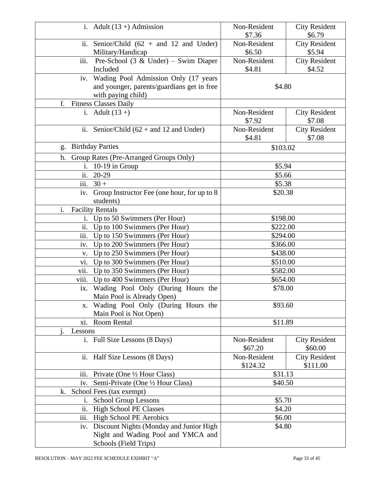| i. Adult $(13 +)$ Admission                                      | Non-Resident           | <b>City Resident</b>           |
|------------------------------------------------------------------|------------------------|--------------------------------|
|                                                                  | \$7.36                 | \$6.79                         |
| ii. Senior/Child $(62 + and 12)$ and Under)<br>Military/Handicap | Non-Resident<br>\$6.50 | <b>City Resident</b><br>\$5.94 |
| iii.<br>Pre-School $(3 \& Under) - Swim.$ Diaper                 | Non-Resident           | <b>City Resident</b>           |
| Included                                                         | \$4.81                 | \$4.52                         |
| iv. Wading Pool Admission Only (17 years                         |                        |                                |
| and younger, parents/guardians get in free                       | \$4.80                 |                                |
| with paying child)                                               |                        |                                |
| <b>Fitness Classes Daily</b><br>f.                               |                        |                                |
| i. Adult $(13 +)$                                                | Non-Resident<br>\$7.92 | <b>City Resident</b><br>\$7.08 |
| ii. Senior/Child $(62 + and 12)$ and Under)                      | Non-Resident           | <b>City Resident</b>           |
|                                                                  | \$4.81                 | \$7.08                         |
| <b>Birthday Parties</b><br>g.                                    | \$103.02               |                                |
| h.<br>Group Rates (Pre-Arranged Groups Only)                     |                        |                                |
| i. $10-19$ in Group                                              | \$5.94                 |                                |
| ii.<br>20-29                                                     | \$5.66                 |                                |
| iii.<br>$30 +$                                                   | \$5.38                 |                                |
| Group Instructor Fee (one hour, for up to 8<br>iv.               | \$20.38                |                                |
| students)                                                        |                        |                                |
| i.<br><b>Facility Rentals</b>                                    |                        |                                |
| Up to 50 Swimmers (Per Hour)<br>1.                               | \$198.00               |                                |
| ii.<br>Up to 100 Swimmers (Per Hour)                             | \$222.00               |                                |
| iii.<br>Up to 150 Swimmers (Per Hour)                            | \$294.00               |                                |
| Up to 200 Swimmers (Per Hour)<br>iv.                             | \$366.00               |                                |
| Up to 250 Swimmers (Per Hour)<br>V.                              | \$438.00               |                                |
| Up to 300 Swimmers (Per Hour)<br>vi.                             | \$510.00               |                                |
| vii.<br>Up to 350 Swimmers (Per Hour)                            | \$582.00               |                                |
| viii.<br>Up to 400 Swimmers (Per Hour)                           | \$654.00               |                                |
| ix. Wading Pool Only (During Hours the                           | \$78.00                |                                |
| Main Pool is Already Open)                                       |                        |                                |
| Wading Pool Only (During Hours the<br>X.                         | \$93.60                |                                |
| Main Pool is Not Open)<br>Room Rental                            |                        |                                |
| xi.                                                              | \$11.89                |                                |
| Lessons<br>i. Full Size Lessons (8 Days)                         | Non-Resident           | <b>City Resident</b>           |
|                                                                  | \$67.20                | \$60.00                        |
| ii. Half Size Lessons (8 Days)                                   | Non-Resident           | <b>City Resident</b>           |
|                                                                  | \$124.32               | \$111.00                       |
| Private (One $\frac{1}{2}$ Hour Class)<br>iii.                   | \$31.13                |                                |
| Semi-Private (One 1/2 Hour Class)<br>iv.                         | \$40.50                |                                |
| k. School Fees (tax exempt)                                      |                        |                                |
| <b>School Group Lessons</b><br>i.                                | \$5.70                 |                                |
| ii.<br><b>High School PE Classes</b>                             | \$4.20                 |                                |
| High School PE Aerobics<br>iii.                                  | \$6.00                 |                                |
| iv. Discount Nights (Monday and Junior High                      | \$4.80                 |                                |
| Night and Wading Pool and YMCA and                               |                        |                                |
| Schools (Field Trips)                                            |                        |                                |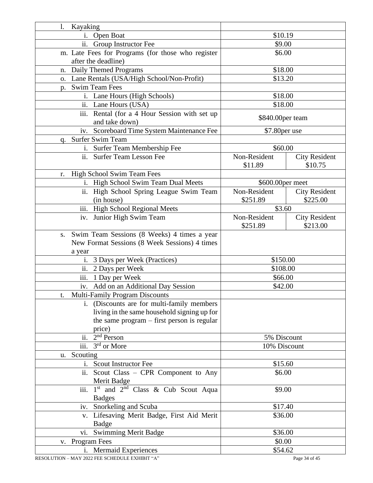| Kayaking<br>1.                                                        |                  |                      |
|-----------------------------------------------------------------------|------------------|----------------------|
| i. Open Boat                                                          | \$10.19          |                      |
| ii. Group Instructor Fee                                              | \$9.00           |                      |
| m. Late Fees for Programs (for those who register                     | \$6.00           |                      |
| after the deadline)                                                   |                  |                      |
| Daily Themed Programs<br>n.                                           | \$18.00          |                      |
| o. Lane Rentals (USA/High School/Non-Profit)                          | \$13.20          |                      |
| <b>Swim Team Fees</b><br>p.                                           |                  |                      |
| i. Lane Hours (High Schools)                                          | \$18.00          |                      |
| ii. Lane Hours (USA)                                                  | \$18.00          |                      |
| $\overline{\text{iii}}$ .<br>Rental (for a 4 Hour Session with set up |                  |                      |
| and take down)                                                        | \$840.00per team |                      |
| iv. Scoreboard Time System Maintenance Fee                            | \$7.80 per use   |                      |
| Surfer Swim Team<br>q.                                                |                  |                      |
| i. Surfer Team Membership Fee                                         | \$60.00          |                      |
| ii. Surfer Team Lesson Fee                                            | Non-Resident     | <b>City Resident</b> |
|                                                                       | \$11.89          | \$10.75              |
| High School Swim Team Fees<br>r.                                      |                  |                      |
| i. High School Swim Team Dual Meets                                   | \$600.00per meet |                      |
| High School Spring League Swim Team<br>$\overline{11}$ .              | Non-Resident     | <b>City Resident</b> |
| (in house)                                                            | \$251.89         | \$225.00             |
| iii. High School Regional Meets                                       | \$3.60           |                      |
| iv. Junior High Swim Team                                             | Non-Resident     | <b>City Resident</b> |
|                                                                       | \$251.89         | \$213.00             |
| Swim Team Sessions (8 Weeks) 4 times a year<br>S.                     |                  |                      |
| New Format Sessions (8 Week Sessions) 4 times                         |                  |                      |
| a year                                                                |                  |                      |
| 3 Days per Week (Practices)<br>1.                                     | \$150.00         |                      |
| 2 Days per Week<br>$\overline{\mathbf{11}}$ .                         | \$108.00         |                      |
| iii.<br>1 Day per Week                                                | \$66.00          |                      |
| Add on an Additional Day Session<br>iv.                               | \$42.00          |                      |
| <b>Multi-Family Program Discounts</b>                                 |                  |                      |
| i. (Discounts are for multi-family members                            |                  |                      |
| living in the same household signing up for                           |                  |                      |
| the same program - first person is regular                            |                  |                      |
| price)                                                                |                  |                      |
| $2nd$ Person<br>ii.                                                   | 5% Discount      |                      |
| $3rd$ or More<br>iii.                                                 | 10% Discount     |                      |
| Scouting<br>u.                                                        |                  |                      |
| i. Scout Instructor Fee                                               | \$15.60          |                      |
| ii. Scout Class - CPR Component to Any                                | \$6.00           |                      |
| Merit Badge                                                           |                  |                      |
| 1 <sup>st</sup> and 2 <sup>nd</sup> Class & Cub Scout Aqua<br>iii.    | \$9.00           |                      |
| <b>Badges</b>                                                         |                  |                      |
| iv. Snorkeling and Scuba                                              | \$17.40          |                      |
| v. Lifesaving Merit Badge, First Aid Merit                            | \$36.00          |                      |
| Badge                                                                 |                  |                      |
| vi. Swimming Merit Badge                                              | \$36.00          |                      |
| v. Program Fees                                                       | \$0.00           |                      |
| i. Mermaid Experiences                                                | \$54.62          |                      |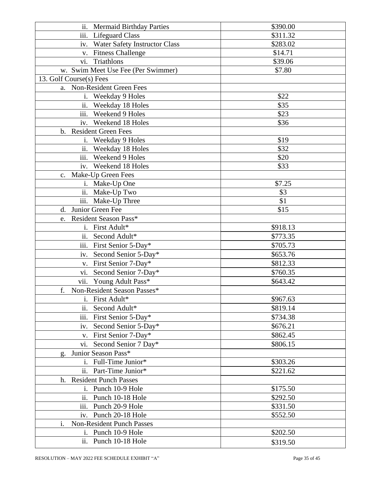| ii. Mermaid Birthday Parties           | \$390.00 |
|----------------------------------------|----------|
| iii. Lifeguard Class                   | \$311.32 |
| iv. Water Safety Instructor Class      | \$283.02 |
| v. Fitness Challenge                   | \$14.71  |
| vi. Triathlons                         | \$39.06  |
| w. Swim Meet Use Fee (Per Swimmer)     | \$7.80   |
| 13. Golf Course(s) Fees                |          |
| a. Non-Resident Green Fees             |          |
| i. Weekday 9 Holes                     | \$22     |
| ii. Weekday 18 Holes                   | \$35     |
| iii. Weekend 9 Holes                   | \$23     |
| iv. Weekend 18 Holes                   | \$36     |
| b. Resident Green Fees                 |          |
| i. Weekday 9 Holes                     | \$19     |
| ii. Weekday 18 Holes                   | \$32     |
| iii. Weekend 9 Holes                   | \$20     |
| iv. Weekend 18 Holes                   | \$33     |
| c. Make-Up Green Fees                  |          |
| i. Make-Up One                         | \$7.25   |
| ii. Make-Up Two                        | \$3      |
| iii. Make-Up Three                     | \$1      |
| d. Junior Green Fee                    | \$15     |
| e. Resident Season Pass*               |          |
| i. First Adult*                        | \$918.13 |
| ii. Second Adult*                      | \$773.35 |
| iii. First Senior 5-Day*               | \$705.73 |
|                                        |          |
| iv. Second Senior 5-Day*               | \$653.76 |
| v. First Senior 7-Day*                 | \$812.33 |
| Second Senior 7-Day*<br>vi.            | \$760.35 |
| vii. Young Adult Pass*                 | \$643.42 |
| Non-Resident Season Passes*<br>f.      |          |
| First Adult*<br>i.                     | \$967.63 |
| ii.<br>Second Adult*                   | \$819.14 |
| iii.<br>First Senior 5-Day*            | \$734.38 |
| Second Senior 5-Day*<br>iv.            | \$676.21 |
| First Senior 7-Day*<br>V.              | \$862.45 |
| vi. Second Senior 7 Day*               | \$806.15 |
| Junior Season Pass*<br>g.              |          |
| Full-Time Junior*<br>$\mathbf{i}$ .    | \$303.26 |
| Part-Time Junior*<br>ii.               | \$221.62 |
| h. Resident Punch Passes               |          |
| Punch 10-9 Hole<br>1.                  | \$175.50 |
| Punch 10-18 Hole<br>ii.                | \$292.50 |
| iii. Punch 20-9 Hole                   | \$331.50 |
| Punch 20-18 Hole<br>iv.                | \$552.50 |
| <b>Non-Resident Punch Passes</b><br>i. |          |
| Punch 10-9 Hole<br>i.                  | \$202.50 |
| ii. Punch 10-18 Hole                   | \$319.50 |
|                                        |          |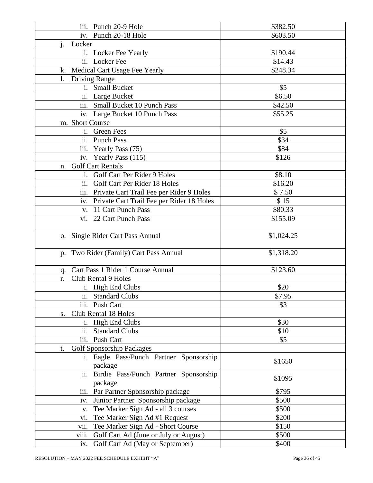| iii. Punch 20-9 Hole                                | \$382.50   |
|-----------------------------------------------------|------------|
| iv. Punch 20-18 Hole                                | \$603.50   |
| Locker                                              |            |
| i. Locker Fee Yearly                                | \$190.44   |
| ii. Locker Fee                                      | \$14.43    |
| k. Medical Cart Usage Fee Yearly                    | \$248.34   |
| $\mathbf{l}$ .<br><b>Driving Range</b>              |            |
| i. Small Bucket                                     | \$5        |
| ii. Large Bucket                                    | \$6.50     |
| iii. Small Bucket 10 Punch Pass                     | \$42.50    |
|                                                     | \$55.25    |
| iv. Large Bucket 10 Punch Pass                      |            |
| m. Short Course                                     |            |
| i. Green Fees                                       | \$5        |
| ii. Punch Pass                                      | \$34       |
| iii. Yearly Pass (75)                               | \$84       |
| iv. Yearly Pass (115)                               | \$126      |
| <b>Golf Cart Rentals</b><br>n.                      |            |
| i. Golf Cart Per Rider 9 Holes                      | \$8.10     |
| ii. Golf Cart Per Rider 18 Holes                    | \$16.20    |
| iii. Private Cart Trail Fee per Rider 9 Holes       | \$7.50     |
| iv. Private Cart Trail Fee per Rider 18 Holes       | \$15       |
| v. 11 Cart Punch Pass                               | \$80.33    |
| vi. 22 Cart Punch Pass                              | \$155.09   |
|                                                     |            |
| o. Single Rider Cart Pass Annual                    | \$1,024.25 |
|                                                     |            |
| p. Two Rider (Family) Cart Pass Annual              | \$1,318.20 |
|                                                     |            |
| Cart Pass 1 Rider 1 Course Annual<br>q.             | \$123.60   |
| <b>Club Rental 9 Holes</b><br>r.                    |            |
| i. High End Clubs                                   | \$20       |
| ii. Standard Clubs                                  | \$7.95     |
| iii.<br>Push Cart                                   | \$3        |
| Club Rental 18 Holes<br>S.                          |            |
| i. High End Clubs                                   | \$30       |
| ii.<br><b>Standard Clubs</b>                        | \$10       |
| iii. Push Cart                                      | \$5        |
|                                                     |            |
| <b>Golf Sponsorship Packages</b><br>t.              |            |
| i. Eagle Pass/Punch Partner Sponsorship             | \$1650     |
| package                                             |            |
| ii. Birdie Pass/Punch Partner Sponsorship           | \$1095     |
| package                                             |            |
| iii. Par Partner Sponsorship package                | \$795      |
| Junior Partner Sponsorship package<br>iv.           | \$500      |
| Tee Marker Sign Ad - all 3 courses<br>$V_{\bullet}$ | \$500      |
| Tee Marker Sign Ad #1 Request<br>vi.                | \$200      |
| Tee Marker Sign Ad - Short Course<br>vii.           | \$150      |
| viii.<br>Golf Cart Ad (June or July or August)      | \$500      |
| Golf Cart Ad (May or September)<br>ix.              | \$400      |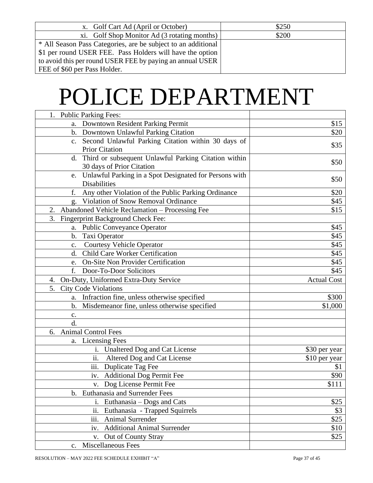| x. Golf Cart Ad (April or October)                            | \$250 |
|---------------------------------------------------------------|-------|
| xi. Golf Shop Monitor Ad (3 rotating months)                  | \$200 |
| * All Season Pass Categories, are be subject to an additional |       |
| \$1 per round USER FEE. Pass Holders will have the option     |       |
| to avoid this per round USER FEE by paying an annual USER     |       |
| FEE of \$60 per Pass Holder.                                  |       |

## POLICE DEPARTMENT

| <b>Public Parking Fees:</b>                                  |                    |
|--------------------------------------------------------------|--------------------|
| a. Downtown Resident Parking Permit                          | \$15               |
| b. Downtown Unlawful Parking Citation                        | \$20               |
| c. Second Unlawful Parking Citation within 30 days of        | \$35               |
| <b>Prior Citation</b>                                        |                    |
| Third or subsequent Unlawful Parking Citation within<br>d.   | \$50               |
| 30 days of Prior Citation                                    |                    |
| Unlawful Parking in a Spot Designated for Persons with<br>e. | \$50               |
| <b>Disabilities</b>                                          |                    |
| Any other Violation of the Public Parking Ordinance<br>f.    | \$20               |
| Violation of Snow Removal Ordinance                          | \$45               |
| Abandoned Vehicle Reclamation - Processing Fee<br>2.         | \$15               |
| 3.<br>Fingerprint Background Check Fee:                      |                    |
| a. Public Conveyance Operator                                | \$45               |
| Taxi Operator<br>b.                                          | \$45               |
| <b>Courtesy Vehicle Operator</b><br>$\mathbf{c}$ .           | \$45               |
| d. Child Care Worker Certification                           | \$45               |
| e. On-Site Non Provider Certification                        | \$45               |
| f.<br>Door-To-Door Solicitors                                | \$45               |
| On-Duty, Uniformed Extra-Duty Service<br>4.                  | <b>Actual Cost</b> |
| <b>City Code Violations</b><br>5.                            |                    |
| a. Infraction fine, unless otherwise specified               | \$300              |
| b. Misdemeanor fine, unless otherwise specified              | \$1,000            |
| $\mathbf{c}$ .                                               |                    |
| d.                                                           |                    |
| <b>Animal Control Fees</b><br>6.                             |                    |
| a. Licensing Fees                                            |                    |
| i. Unaltered Dog and Cat License                             | \$30 per year      |
| ii.<br>Altered Dog and Cat License                           | \$10 per year      |
| iii. Duplicate Tag Fee                                       | \$1                |
| iv. Additional Dog Permit Fee                                | \$90               |
| v. Dog License Permit Fee                                    | \$111              |
| b. Euthanasia and Surrender Fees                             |                    |
| i. Euthanasia - Dogs and Cats                                | \$25               |
| $\overline{ii}$ .<br>Euthanasia - Trapped Squirrels          | \$3                |
| iii.<br>Animal Surrender                                     | \$25               |
| <b>Additional Animal Surrender</b><br>iv.                    | \$10               |
| Out of County Stray<br>${\bf V}$ .                           | \$25               |
| Miscellaneous Fees<br>c.                                     |                    |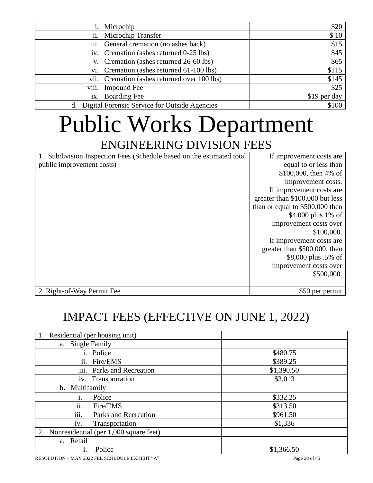|       | Microchip                                        | \$20         |
|-------|--------------------------------------------------|--------------|
| 11.   | Microchip Transfer                               | \$10         |
|       | iii. General cremation (no ashes back)           | \$15         |
|       | iv. Cremation (ashes returned 0-25 lbs)          | \$45         |
|       | v. Cremation (ashes returned 26-60 lbs)          | \$65         |
|       | vi. Cremation (ashes returned 61-100 lbs)        | \$115        |
| V11.  | Cremation (ashes returned over 100 lbs)          | \$145        |
| viii. | <b>Impound Fee</b>                               | \$25         |
|       | ix. Boarding Fee                                 | \$19 per day |
|       | d. Digital Forensic Service for Outside Agencies | \$100        |

### Public Works Department ENGINEERING DIVISION FEES

| 1. Subdivision Inspection Fees (Schedule based on the estimated total | If improvement costs are        |
|-----------------------------------------------------------------------|---------------------------------|
| public improvement costs)                                             | equal to or less than           |
|                                                                       | \$100,000, then $4\%$ of        |
|                                                                       | improvement costs.              |
|                                                                       | If improvement costs are        |
|                                                                       | greater than \$100,000 but less |
|                                                                       | than or equal to \$500,000 then |
|                                                                       | \$4,000 plus $1\%$ of           |
|                                                                       | improvement costs over          |
|                                                                       | \$100,000.                      |
|                                                                       | If improvement costs are        |
|                                                                       | greater than \$500,000, then    |
|                                                                       | \$8,000 plus .5% of             |
|                                                                       | improvement costs over          |
|                                                                       | \$500,000.                      |
|                                                                       |                                 |
| 2. Right-of-Way Permit Fee                                            | \$50 per permit                 |

### IMPACT FEES (EFFECTIVE ON JUNE 1, 2022)

| Residential (per housing unit)               |            |
|----------------------------------------------|------------|
| <b>Single Family</b><br>a.                   |            |
| i. Police                                    | \$480.75   |
| ii. Fire/EMS                                 | \$389.25   |
| iii. Parks and Recreation                    | \$1,390.50 |
| iv. Transportation                           | \$3,013    |
| Multifamily<br>b.                            |            |
| Police<br>1.                                 | \$332.25   |
| ii.<br>Fire/EMS                              | \$313.50   |
| iii.<br>Parks and Recreation                 | \$961.50   |
| Transportation<br>iv.                        | \$1,336    |
| Nonresidential (per 1,000 square feet)<br>2. |            |
| a. Retail                                    |            |
| Police<br>1.                                 | \$1,366.50 |

RESOLUTION – MAY 2022 FEE SCHEDULE EXHIBIT "A" Page 38 of 45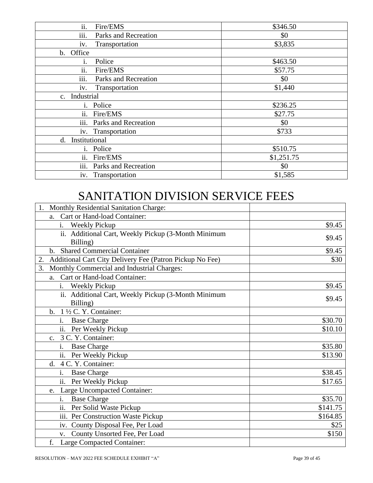| ii.<br>Fire/EMS               | \$346.50   |
|-------------------------------|------------|
| iii.<br>Parks and Recreation  | \$0        |
| Transportation<br>iv.         | \$3,835    |
| Office<br>b.                  |            |
| Police                        | \$463.50   |
| ii.<br>Fire/EMS               | \$57.75    |
| iii.<br>Parks and Recreation  | \$0        |
| Transportation<br>1V.         | \$1,440    |
| Industrial<br>$\mathbf{c}$ .  |            |
| Police<br>1.                  | \$236.25   |
| Fire/EMS<br>$\overline{11}$ . | \$27.75    |
| iii.<br>Parks and Recreation  | \$0        |
| iv. Transportation            | \$733      |
| Institutional<br>d.           |            |
| Police<br>$\mathbf{1}$ .      | \$510.75   |
| ii.<br>Fire/EMS               | \$1,251.75 |
| iii.<br>Parks and Recreation  | \$0        |
| iv. Transportation            | \$1,585    |

### SANITATION DIVISION SERVICE FEES

| Monthly Residential Sanitation Charge:<br>1.                   |          |
|----------------------------------------------------------------|----------|
| Cart or Hand-load Container:<br>a.                             |          |
| <b>Weekly Pickup</b><br>1.                                     | \$9.45   |
| ii. Additional Cart, Weekly Pickup (3-Month Minimum            | \$9.45   |
| Billing)                                                       |          |
| <b>Shared Commercial Container</b><br>b.                       | \$9.45   |
| Additional Cart City Delivery Fee (Patron Pickup No Fee)<br>2. | \$30     |
| Monthly Commercial and Industrial Charges:<br>3.               |          |
| Cart or Hand-load Container:<br>a.                             |          |
| <b>Weekly Pickup</b><br>i.                                     | \$9.45   |
| ii. Additional Cart, Weekly Pickup (3-Month Minimum            |          |
| Billing)                                                       | \$9.45   |
| b. $1\frac{1}{2}$ C. Y. Container:                             |          |
| i.<br><b>Base Charge</b>                                       | \$30.70  |
| ii. Per Weekly Pickup                                          | \$10.10  |
| 3 C. Y. Container:<br>C <sub>1</sub>                           |          |
| <b>Base Charge</b><br>1.                                       | \$35.80  |
| Per Weekly Pickup<br>$\overline{11}$ .                         | \$13.90  |
| d. 4 C. Y. Container:                                          |          |
| <b>Base Charge</b><br>1.                                       | \$38.45  |
| Per Weekly Pickup<br>$\overline{11}$ .                         | \$17.65  |
| Large Uncompacted Container:<br>e.                             |          |
| <b>Base Charge</b><br>$\mathbf{1}$ .                           | \$35.70  |
| Per Solid Waste Pickup<br>11.                                  | \$141.75 |
| iii. Per Construction Waste Pickup                             | \$164.85 |
| iv. County Disposal Fee, Per Load                              | \$25     |
| County Unsorted Fee, Per Load<br>V.                            | \$150    |
| f.<br><b>Large Compacted Container:</b>                        |          |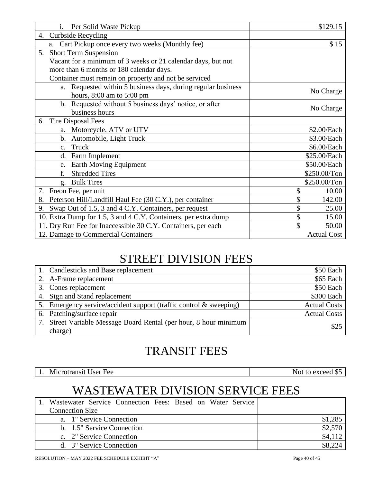| Per Solid Waste Pickup<br>$\mathbf{i}$ .                        | \$129.15           |
|-----------------------------------------------------------------|--------------------|
| <b>Curbside Recycling</b><br>4.                                 |                    |
| Cart Pickup once every two weeks (Monthly fee)<br>a.            | \$15               |
| <b>Short Term Suspension</b><br>5.                              |                    |
| Vacant for a minimum of 3 weeks or 21 calendar days, but not    |                    |
| more than 6 months or 180 calendar days.                        |                    |
| Container must remain on property and not be serviced           |                    |
| a. Requested within 5 business days, during regular business    | No Charge          |
| hours, 8:00 am to 5:00 pm                                       |                    |
| b. Requested without 5 business days' notice, or after          | No Charge          |
| business hours                                                  |                    |
| <b>Tire Disposal Fees</b><br>6.                                 |                    |
| a. Motorcycle, ATV or UTV                                       | \$2.00/Each        |
| b. Automobile, Light Truck                                      | \$3.00/Each        |
| Truck<br>C <sub>1</sub>                                         | \$6.00/Each        |
| Farm Implement<br>d.                                            | \$25.00/Each       |
| Earth Moving Equipment<br>e.                                    | \$50.00/Each       |
| <b>Shredded Tires</b><br>f.                                     | \$250.00/Ton       |
| <b>Bulk Tires</b><br>g.                                         | \$250.00/Ton       |
| Freon Fee, per unit<br>7.                                       | \$<br>10.00        |
| Peterson Hill/Landfill Haul Fee (30 C.Y.), per container<br>8.  | 142.00             |
| Swap Out of 1.5, 3 and 4 C.Y. Containers, per request<br>9.     | \$<br>25.00        |
| 10. Extra Dump for 1.5, 3 and 4 C.Y. Containers, per extra dump | \$<br>15.00        |
| 11. Dry Run Fee for Inaccessible 30 C.Y. Containers, per each   | \$<br>50.00        |
| 12. Damage to Commercial Containers                             | <b>Actual Cost</b> |

### STREET DIVISION FEES

| 1. Candlesticks and Base replacement                               | \$50 Each           |
|--------------------------------------------------------------------|---------------------|
| 2. A-Frame replacement                                             | \$65 Each           |
| 3. Cones replacement                                               | \$50 Each           |
| 4. Sign and Stand replacement                                      | \$300 Each          |
| 5. Emergency service/accident support (traffic control & sweeping) | <b>Actual Costs</b> |
| 6. Patching/surface repair                                         | <b>Actual Costs</b> |
| 7. Street Variable Message Board Rental (per hour, 8 hour minimum  | \$25                |
| charge)                                                            |                     |

### TRANSIT FEES

1. Microtransit User Fee Not to exceed \$5

### WASTEWATER DIVISION SERVICE FEES

| 1. Wastewater Service Connection Fees: Based on Water Service |         |
|---------------------------------------------------------------|---------|
| <b>Connection Size</b>                                        |         |
| a. 1" Service Connection                                      | \$1,285 |
| b. 1.5" Service Connection                                    | \$2,570 |
| c. 2" Service Connection                                      | \$4,112 |
| d. 3" Service Connection                                      |         |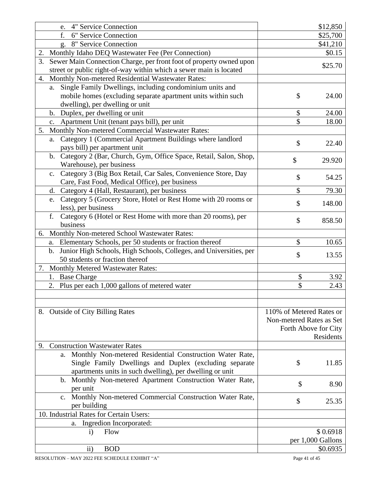| e. 4" Service Connection                                                                                                                        |                          | \$12,850             |
|-------------------------------------------------------------------------------------------------------------------------------------------------|--------------------------|----------------------|
| f.<br>6" Service Connection                                                                                                                     |                          | \$25,700             |
| 8" Service Connection<br>g.                                                                                                                     |                          | \$41,210             |
| Monthly Idaho DEQ Wastewater Fee (Per Connection)<br>2.                                                                                         |                          | \$0.15               |
| 3.<br>Sewer Main Connection Charge, per front foot of property owned upon<br>street or public right-of-way within which a sewer main is located |                          | \$25.70              |
| 4. Monthly Non-metered Residential Wastewater Rates:                                                                                            |                          |                      |
| a. Single Family Dwellings, including condominium units and                                                                                     |                          |                      |
| mobile homes (excluding separate apartment units within such<br>dwelling), per dwelling or unit                                                 | \$                       | 24.00                |
| b. Duplex, per dwelling or unit                                                                                                                 | \$                       | 24.00                |
| c. Apartment Unit (tenant pays bill), per unit                                                                                                  | \$                       | 18.00                |
| Monthly Non-metered Commercial Wastewater Rates:<br>5.                                                                                          |                          |                      |
| Category 1 (Commercial Apartment Buildings where landlord<br>a.<br>pays bill) per apartment unit                                                | \$                       | 22.40                |
| b. Category 2 (Bar, Church, Gym, Office Space, Retail, Salon, Shop,<br>Warehouse), per business                                                 | \$                       | 29.920               |
| c. Category 3 (Big Box Retail, Car Sales, Convenience Store, Day                                                                                |                          |                      |
| Care, Fast Food, Medical Office), per business                                                                                                  | \$                       | 54.25                |
| Category 4 (Hall, Restaurant), per business<br>d.                                                                                               | \$                       | 79.30                |
| Category 5 (Grocery Store, Hotel or Rest Home with 20 rooms or<br>e.                                                                            |                          |                      |
| less), per business                                                                                                                             | \$                       | 148.00               |
| Category 6 (Hotel or Rest Home with more than 20 rooms), per<br>f.                                                                              |                          |                      |
| business                                                                                                                                        | \$                       | 858.50               |
| 6. Monthly Non-metered School Wastewater Rates:                                                                                                 |                          |                      |
| Elementary Schools, per 50 students or fraction thereof<br>a.                                                                                   | \$                       | 10.65                |
| Junior High Schools, High Schools, Colleges, and Universities, per<br>$\mathbf b$ .                                                             |                          |                      |
| 50 students or fraction thereof                                                                                                                 | \$                       | 13.55                |
| 7. Monthly Metered Wastewater Rates:                                                                                                            |                          |                      |
| 1. Base Charge                                                                                                                                  | \$                       | 3.92                 |
| 2.<br>Plus per each 1,000 gallons of metered water                                                                                              | \$                       | 2.43                 |
|                                                                                                                                                 |                          |                      |
| 8. Outside of City Billing Rates                                                                                                                | 110% of Metered Rates or |                      |
|                                                                                                                                                 | Non-metered Rates as Set |                      |
|                                                                                                                                                 |                          | Forth Above for City |
|                                                                                                                                                 |                          | Residents            |
| <b>Construction Wastewater Rates</b><br>9.                                                                                                      |                          |                      |
| Monthly Non-metered Residential Construction Water Rate,<br>a.                                                                                  |                          |                      |
| Single Family Dwellings and Duplex (excluding separate                                                                                          | \$                       | 11.85                |
| apartments units in such dwelling), per dwelling or unit                                                                                        |                          |                      |
| Monthly Non-metered Apartment Construction Water Rate,<br>$\mathbf b$ .<br>per unit                                                             | \$                       | 8.90                 |
| c. Monthly Non-metered Commercial Construction Water Rate,<br>per building                                                                      | \$                       | 25.35                |
| 10. Industrial Rates for Certain Users:                                                                                                         |                          |                      |
| a. Ingredion Incorporated:                                                                                                                      |                          |                      |
| Flow<br>$\mathbf{i}$                                                                                                                            |                          | \$0.6918             |
|                                                                                                                                                 |                          | per 1,000 Gallons    |
| <b>BOD</b><br>$\rm ii)$                                                                                                                         |                          | \$0.6935             |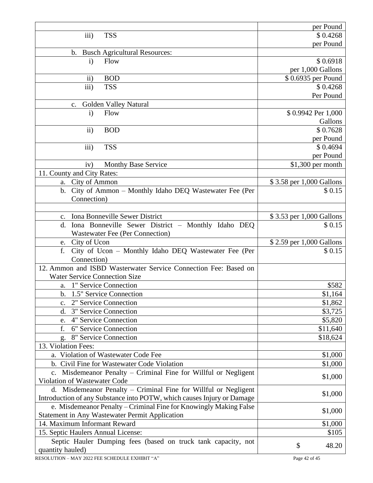|                                                                                   | per Pound                |
|-----------------------------------------------------------------------------------|--------------------------|
| iii)<br><b>TSS</b>                                                                | \$0.4268                 |
|                                                                                   | per Pound                |
| <b>Busch Agricultural Resources:</b><br>$\mathbf{b}$ .                            |                          |
| $\mathbf{i}$<br>Flow                                                              | \$0.6918                 |
|                                                                                   | per 1,000 Gallons        |
| <b>BOD</b><br>$\overline{11})$                                                    | \$0.6935 per Pound       |
| iii)<br><b>TSS</b>                                                                | \$0.4268                 |
|                                                                                   | Per Pound                |
| Golden Valley Natural<br>$C_{\bullet}$                                            |                          |
| Flow<br>$\mathbf{i}$                                                              | \$0.9942 Per 1,000       |
|                                                                                   | Gallons                  |
| <b>BOD</b><br>$\rm ii)$                                                           | \$0.7628                 |
|                                                                                   | per Pound                |
| iii)<br><b>TSS</b>                                                                | \$0.4694                 |
|                                                                                   | per Pound                |
| <b>Monthy Base Service</b><br>iv)                                                 | \$1,300 per month        |
| 11. County and City Rates:                                                        |                          |
| a. City of Ammon                                                                  | \$3.58 per 1,000 Gallons |
| b. City of Ammon - Monthly Idaho DEQ Wastewater Fee (Per                          | \$0.15                   |
| Connection)                                                                       |                          |
|                                                                                   |                          |
| Iona Bonneville Sewer District<br>$\mathbf{c}$ .                                  | \$3.53 per 1,000 Gallons |
| Iona Bonneville Sewer District - Monthly Idaho DEQ<br>d.                          | \$0.15                   |
| <b>Wastewater Fee (Per Connection)</b>                                            |                          |
| City of Ucon<br>e.                                                                | \$2.59 per 1,000 Gallons |
| City of Ucon - Monthly Idaho DEQ Wastewater Fee (Per<br>f.                        | \$0.15                   |
| Connection)                                                                       |                          |
| 12. Ammon and ISBD Wasterwater Service Connection Fee: Based on                   |                          |
| <b>Water Service Connection Size</b>                                              |                          |
| a. 1" Service Connection                                                          | \$582                    |
| b. 1.5" Service Connection                                                        | \$1,164                  |
| 2" Service Connection<br>$\mathbf{C}$ .                                           | \$1,862                  |
| 3" Service Connection<br>d.                                                       | \$3,725                  |
| 4" Service Connection<br>e.                                                       | \$5,820                  |
| f.<br>6" Service Connection                                                       | \$11,640                 |
| 8" Service Connection<br>g.                                                       | \$18,624                 |
| 13. Violation Fees:                                                               |                          |
| a. Violation of Wastewater Code Fee                                               | \$1,000                  |
| b. Civil Fine for Wastewater Code Violation                                       | \$1,000                  |
| c. Misdemeanor Penalty - Criminal Fine for Willful or Negligent                   | \$1,000                  |
| Violation of Wastewater Code                                                      |                          |
| d. Misdemeanor Penalty – Criminal Fine for Willful or Negligent                   | \$1,000                  |
| Introduction of any Substance into POTW, which causes Injury or Damage            |                          |
| e. Misdemeanor Penalty - Criminal Fine for Knowingly Making False                 | \$1,000                  |
| Statement in Any Wastewater Permit Application                                    |                          |
| 14. Maximum Informant Reward                                                      | \$1,000                  |
| 15. Septic Haulers Annual License:                                                | \$105                    |
| Septic Hauler Dumping fees (based on truck tank capacity, not<br>quantity hauled) | \$<br>48.20              |
|                                                                                   |                          |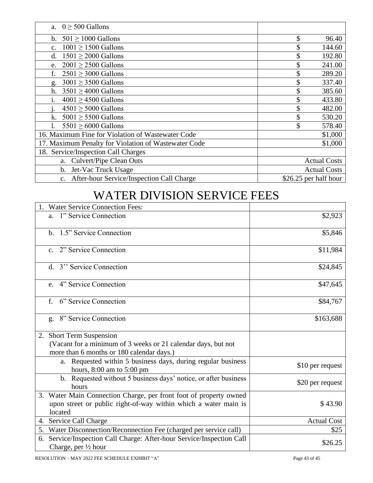| a. $0 \geq 500$ Gallons                              |                       |
|------------------------------------------------------|-----------------------|
| $501 \ge 1000$ Gallons<br>$\mathbf{b}$ .             | \$<br>96.40           |
| $1001 \ge 1500$ Gallons<br>$\mathbf{c}$ .            | 144.60                |
| $1501 \geq 2000$ Gallons<br>d.                       | 192.80                |
| $2001 \geq 2500$ Gallons<br>e.                       | 241.00                |
| f.<br>$2501 \geq 3000$ Gallons                       | 289.20                |
| $3001 \geq 3500$ Gallons<br>g.                       | 337.40                |
| $3501 \geq 4000$ Gallons<br>h.                       | 385.60                |
| $4001 \ge 4500$ Gallons<br>1.                        | 433.80                |
| $4501 \geq 5000$ Gallons                             | 482.00                |
| $5001 \geq 5500$ Gallons<br>k.                       | 530.20                |
| $5501 \geq 6000$ Gallons                             | 578.40                |
| 16. Maximum Fine for Violation of Wastewater Code    | \$1,000               |
| 17. Maximum Penalty for Violation of Wastewater Code | \$1,000               |
| 18. Service/Inspection Call Charges                  |                       |
| Culvert/Pipe Clean Outs<br>a.                        | <b>Actual Costs</b>   |
| Jet-Vac Truck Usage<br>b.                            | <b>Actual Costs</b>   |
| c. After-hour Service/Inspection Call Charge         | \$26.25 per half hour |

#### WATER DIVISION SERVICE FEES

| <b>Water Service Connection Fees:</b>                                                                      |                    |
|------------------------------------------------------------------------------------------------------------|--------------------|
| a. 1" Service Connection                                                                                   | \$2,923            |
| b. 1.5" Service Connection                                                                                 | \$5,846            |
| c. 2" Service Connection                                                                                   | \$11,984           |
| d. 3" Service Connection                                                                                   | \$24,845           |
| e. 4" Service Connection                                                                                   | \$47,645           |
| 6" Service Connection<br>f.                                                                                | \$84,767           |
| 8" Service Connection<br>g.                                                                                | \$163,688          |
| 2. Short Term Suspension                                                                                   |                    |
| (Vacant for a minimum of 3 weeks or 21 calendar days, but not                                              |                    |
| more than 6 months or 180 calendar days.)                                                                  |                    |
| a. Requested within 5 business days, during regular business<br>hours, 8:00 am to 5:00 pm                  | \$10 per request   |
| b. Requested without 5 business days' notice, or after business<br>hours                                   | \$20 per request   |
| 3. Water Main Connection Charge, per front foot of property owned                                          |                    |
| upon street or public right-of-way within which a water main is                                            | \$43.90            |
| located                                                                                                    |                    |
| 4. Service Call Charge                                                                                     | <b>Actual Cost</b> |
| 5. Water Disconnection/Reconnection Fee (charged per service call)                                         | \$25               |
| Service/Inspection Call Charge: After-hour Service/Inspection Call<br>6.<br>Charge, per $\frac{1}{2}$ hour | \$26.25            |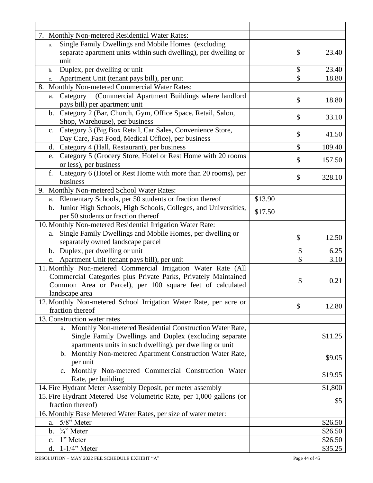| 7. Monthly Non-metered Residential Water Rates:                      |         |              |
|----------------------------------------------------------------------|---------|--------------|
| Single Family Dwellings and Mobile Homes (excluding<br>a.            |         |              |
| separate apartment units within such dwelling), per dwelling or      |         | \$<br>23.40  |
| unit                                                                 |         |              |
| Duplex, per dwelling or unit<br>$b$ .                                |         | \$<br>23.40  |
| Apartment Unit (tenant pays bill), per unit<br>c.                    |         | \$<br>18.80  |
| 8. Monthly Non-metered Commercial Water Rates:                       |         |              |
| Category 1 (Commercial Apartment Buildings where landlord<br>a.      |         |              |
| pays bill) per apartment unit                                        |         | \$<br>18.80  |
| b. Category 2 (Bar, Church, Gym, Office Space, Retail, Salon,        |         |              |
| Shop, Warehouse), per business                                       |         | \$<br>33.10  |
| c. Category 3 (Big Box Retail, Car Sales, Convenience Store,         |         |              |
| Day Care, Fast Food, Medical Office), per business                   |         | \$<br>41.50  |
| d. Category 4 (Hall, Restaurant), per business                       |         | \$<br>109.40 |
| Category 5 (Grocery Store, Hotel or Rest Home with 20 rooms<br>e.    |         |              |
| or less), per business                                               |         | \$<br>157.50 |
| Category 6 (Hotel or Rest Home with more than 20 rooms), per<br>f.   |         |              |
| business                                                             |         | \$<br>328.10 |
| 9. Monthly Non-metered School Water Rates:                           |         |              |
| Elementary Schools, per 50 students or fraction thereof              | \$13.90 |              |
| a.                                                                   |         |              |
| Junior High Schools, High Schools, Colleges, and Universities,<br>b. | \$17.50 |              |
| per 50 students or fraction thereof                                  |         |              |
| 10. Monthly Non-metered Residential Irrigation Water Rate:           |         |              |
| Single Family Dwellings and Mobile Homes, per dwelling or<br>a.      |         | \$<br>12.50  |
| separately owned landscape parcel                                    |         |              |
| b. Duplex, per dwelling or unit                                      |         | \$<br>6.25   |
| c. Apartment Unit (tenant pays bill), per unit                       |         | \$<br>3.10   |
| 11. Monthly Non-metered Commercial Irrigation Water Rate (All        |         |              |
| Commercial Categories plus Private Parks, Privately Maintained       |         | \$<br>0.21   |
| Common Area or Parcel), per 100 square feet of calculated            |         |              |
| landscape area                                                       |         |              |
| 12. Monthly Non-metered School Irrigation Water Rate, per acre or    |         | \$<br>12.80  |
| fraction thereof                                                     |         |              |
| 13. Construction water rates                                         |         |              |
| Monthly Non-metered Residential Construction Water Rate,<br>a.       |         |              |
| Single Family Dwellings and Duplex (excluding separate               |         | \$11.25      |
| apartments units in such dwelling), per dwelling or unit             |         |              |
| b. Monthly Non-metered Apartment Construction Water Rate,            |         |              |
| per unit                                                             |         | \$9.05       |
| c. Monthly Non-metered Commercial Construction Water                 |         |              |
| Rate, per building                                                   |         | \$19.95      |
| 14. Fire Hydrant Meter Assembly Deposit, per meter assembly          |         | \$1,800      |
| 15. Fire Hydrant Metered Use Volumetric Rate, per 1,000 gallons (or  |         |              |
| fraction thereof)                                                    |         | \$5          |
| 16. Monthly Base Metered Water Rates, per size of water meter:       |         |              |
| 5/8" Meter<br>a.                                                     |         | \$26.50      |
| $\frac{3}{4}$ " Meter<br>b.                                          |         | \$26.50      |
| 1" Meter<br>c.                                                       |         | \$26.50      |
| $1-1/4$ " Meter<br>d.                                                |         | \$35.25      |
|                                                                      |         |              |